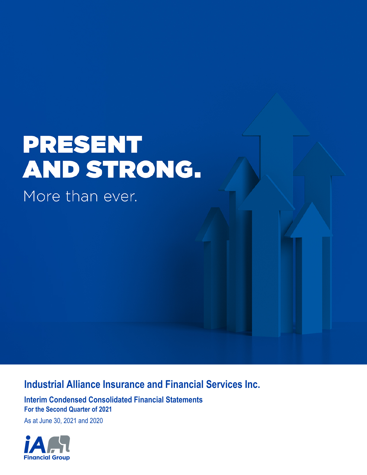# **PRESENT** AND STRONG.

More than ever.

# **Industrial Alliance Insurance and Financial Services Inc.**

**Interim Condensed Consolidated Financial Statements For the Second Quarter of 2021**

As at June 30, 2021 and 2020

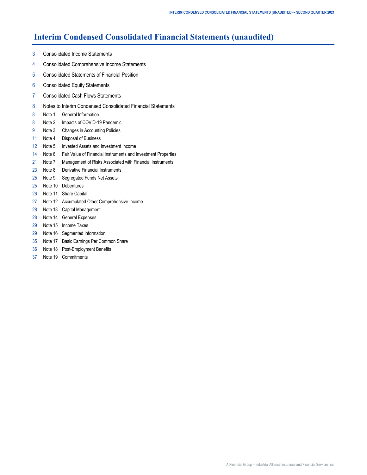# **Interim Condensed Consolidated Financial Statements (unaudited)**

- [3 Consolidated Income Statements](#page-2-0)
- [4 Consolidated Comprehensive Income Statements](#page-3-0)
- [5 Consolidated Statements of Financial Position](#page-4-0)
- [6 Consolidated Equity Statements](#page-5-0)
- [7 Consolidated Cash Flows Statements](#page-6-0)
- [8 Notes to Interim Condensed Consolidated Financial Statements](#page-7-0)
- [8 Note 1 General Information](#page-7-0)
- [8 Note](#page-7-0) 2 [Impacts of COVID-19 Pandemic](#page-7-0)
- [9 Note](#page-8-0) 3 [Changes in Accounting Policies](#page-8-0)
- [11 Note 4 Disposal of Business](#page-10-0)
- [12 Note 5 Invested Assets and Investment Income](#page-11-0)
- [14 Note 6 Fair Value of Financial Instruments and Investment Properties](#page-13-0)
- [21 Note 7 Management of Risks Associated with Financial Instruments](#page-20-0)
- [23 Note 8 Derivative Financial Instruments](#page-22-0)
- [25](#page-24-0) [Note 9](#page-24-0) [Segregated Funds Net Assets](#page-24-0)
- [25 Note 1](#page-24-0)0 [Debentures](#page-24-0)
- [26 Note 1](#page-25-0)1 [Share Capital](#page-25-0)
- [27 Note 1](#page-26-0)2 [Accumulated Other Comprehensive Income](#page-26-0)
- [28 Note 1](#page-27-0)3 [Capital Management](#page-27-0)
- [28 Note 1](#page-27-0)4 [General Expenses](#page-27-0)
- [29 Note 1](#page-28-0)5 [Income Taxes](#page-28-0)
- [29 Note 1](#page-28-0)6 [Segmented Information](#page-28-0)
- [35 Note 1](#page-34-0)7 [Basic Earnings Per Common Share](#page-34-0)
- [36 Note 1](#page-35-0)8 [Post-Employment Benefits](#page-35-0)
- [37](#page-36-0) [Note 1](#page-36-0)9 [Commitments](#page-36-0)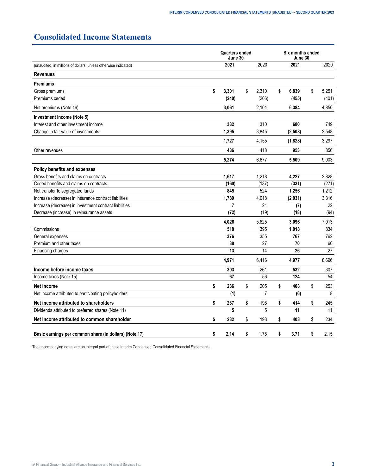# <span id="page-2-0"></span>**Consolidated Income Statements**

|                                                                 |                                                                                                                                                                                                                                                                                                                                                                                                                                                                                                                                                                                                                                                           |       |             | Six months ended<br>June 30 |    |       |  |
|-----------------------------------------------------------------|-----------------------------------------------------------------------------------------------------------------------------------------------------------------------------------------------------------------------------------------------------------------------------------------------------------------------------------------------------------------------------------------------------------------------------------------------------------------------------------------------------------------------------------------------------------------------------------------------------------------------------------------------------------|-------|-------------|-----------------------------|----|-------|--|
| (unaudited, in millions of dollars, unless otherwise indicated) |                                                                                                                                                                                                                                                                                                                                                                                                                                                                                                                                                                                                                                                           | 2021  | 2020        | 2021                        |    | 2020  |  |
| <b>Revenues</b>                                                 |                                                                                                                                                                                                                                                                                                                                                                                                                                                                                                                                                                                                                                                           |       |             |                             |    |       |  |
| <b>Premiums</b>                                                 |                                                                                                                                                                                                                                                                                                                                                                                                                                                                                                                                                                                                                                                           |       |             |                             |    |       |  |
| Gross premiums                                                  | \$                                                                                                                                                                                                                                                                                                                                                                                                                                                                                                                                                                                                                                                        | 3,301 | \$<br>2,310 | \$<br>6,839                 | \$ | 5,251 |  |
| Premiums ceded                                                  |                                                                                                                                                                                                                                                                                                                                                                                                                                                                                                                                                                                                                                                           | (240) | (206)       | (455)                       |    | (401) |  |
| Net premiums (Note 16)                                          |                                                                                                                                                                                                                                                                                                                                                                                                                                                                                                                                                                                                                                                           | 3,061 | 2,104       | 6,384                       |    | 4,850 |  |
| Investment income (Note 5)                                      |                                                                                                                                                                                                                                                                                                                                                                                                                                                                                                                                                                                                                                                           |       |             |                             |    |       |  |
| Interest and other investment income                            |                                                                                                                                                                                                                                                                                                                                                                                                                                                                                                                                                                                                                                                           | 332   | 310         | 680                         |    | 749   |  |
| Change in fair value of investments                             |                                                                                                                                                                                                                                                                                                                                                                                                                                                                                                                                                                                                                                                           | 1.395 | 3.845       | (2,508)                     |    | 2.548 |  |
|                                                                 |                                                                                                                                                                                                                                                                                                                                                                                                                                                                                                                                                                                                                                                           | 1,727 | 4,155       | (1,828)                     |    | 3,297 |  |
| Other revenues                                                  | <b>Quarters ended</b><br>June 30<br>486<br>418<br>953<br>5,274<br>6.677<br>5,509<br>1,617<br>1,218<br>4,227<br>(160)<br>(137)<br>(331)<br>845<br>524<br>1,256<br>1,789<br>4,018<br>(2,031)<br>7<br>21<br>(7)<br>(72)<br>(19)<br>(18)<br>4,026<br>5,625<br>3,096<br>518<br>395<br>1,018<br>376<br>355<br>767<br>27<br>70<br>38<br>13<br>14<br>26<br>4,971<br>6,416<br>4.977<br>303<br>261<br>532<br>67<br>56<br>124<br>\$<br>\$<br>\$<br>236<br>205<br>\$<br>408<br>$\overline{7}$<br>(1)<br>(6)<br>\$<br>\$<br>\$<br>237<br>198<br>\$<br>414<br>5<br>5<br>11<br>\$<br>\$<br>\$<br>232<br>193<br>\$<br>403<br>\$<br>\$<br>\$<br>\$<br>3.71<br>2.14<br>1.78 | 856   |             |                             |    |       |  |
|                                                                 |                                                                                                                                                                                                                                                                                                                                                                                                                                                                                                                                                                                                                                                           |       |             |                             |    | 9.003 |  |
| Policy benefits and expenses                                    |                                                                                                                                                                                                                                                                                                                                                                                                                                                                                                                                                                                                                                                           |       |             |                             |    |       |  |
| Gross benefits and claims on contracts                          |                                                                                                                                                                                                                                                                                                                                                                                                                                                                                                                                                                                                                                                           |       |             |                             |    | 2,828 |  |
| Ceded benefits and claims on contracts                          |                                                                                                                                                                                                                                                                                                                                                                                                                                                                                                                                                                                                                                                           |       |             |                             |    | (271) |  |
| Net transfer to segregated funds                                |                                                                                                                                                                                                                                                                                                                                                                                                                                                                                                                                                                                                                                                           |       |             |                             |    | 1,212 |  |
| Increase (decrease) in insurance contract liabilities           |                                                                                                                                                                                                                                                                                                                                                                                                                                                                                                                                                                                                                                                           |       |             |                             |    | 3,316 |  |
| Increase (decrease) in investment contract liabilities          |                                                                                                                                                                                                                                                                                                                                                                                                                                                                                                                                                                                                                                                           |       |             |                             |    | 22    |  |
| Decrease (increase) in reinsurance assets                       |                                                                                                                                                                                                                                                                                                                                                                                                                                                                                                                                                                                                                                                           |       |             |                             |    | (94)  |  |
|                                                                 |                                                                                                                                                                                                                                                                                                                                                                                                                                                                                                                                                                                                                                                           |       |             |                             |    | 7,013 |  |
| Commissions                                                     |                                                                                                                                                                                                                                                                                                                                                                                                                                                                                                                                                                                                                                                           |       |             |                             |    | 834   |  |
| General expenses                                                |                                                                                                                                                                                                                                                                                                                                                                                                                                                                                                                                                                                                                                                           |       |             |                             |    | 762   |  |
| Premium and other taxes                                         |                                                                                                                                                                                                                                                                                                                                                                                                                                                                                                                                                                                                                                                           |       |             |                             |    | 60    |  |
| Financing charges                                               |                                                                                                                                                                                                                                                                                                                                                                                                                                                                                                                                                                                                                                                           |       |             |                             |    | 27    |  |
|                                                                 |                                                                                                                                                                                                                                                                                                                                                                                                                                                                                                                                                                                                                                                           |       |             |                             |    | 8.696 |  |
| Income before income taxes                                      |                                                                                                                                                                                                                                                                                                                                                                                                                                                                                                                                                                                                                                                           |       |             |                             |    | 307   |  |
| Income taxes (Note 15)                                          |                                                                                                                                                                                                                                                                                                                                                                                                                                                                                                                                                                                                                                                           |       |             |                             |    | 54    |  |
| Net income                                                      |                                                                                                                                                                                                                                                                                                                                                                                                                                                                                                                                                                                                                                                           |       |             |                             |    | 253   |  |
| Net income attributed to participating policyholders            |                                                                                                                                                                                                                                                                                                                                                                                                                                                                                                                                                                                                                                                           |       |             |                             |    | 8     |  |
| Net income attributed to shareholders                           |                                                                                                                                                                                                                                                                                                                                                                                                                                                                                                                                                                                                                                                           |       |             |                             |    | 245   |  |
| Dividends attributed to preferred shares (Note 11)              |                                                                                                                                                                                                                                                                                                                                                                                                                                                                                                                                                                                                                                                           |       |             |                             |    | 11    |  |
| Net income attributed to common shareholder                     |                                                                                                                                                                                                                                                                                                                                                                                                                                                                                                                                                                                                                                                           |       |             |                             |    | 234   |  |
| Basic earnings per common share (in dollars) (Note 17)          |                                                                                                                                                                                                                                                                                                                                                                                                                                                                                                                                                                                                                                                           |       |             |                             |    | 2.15  |  |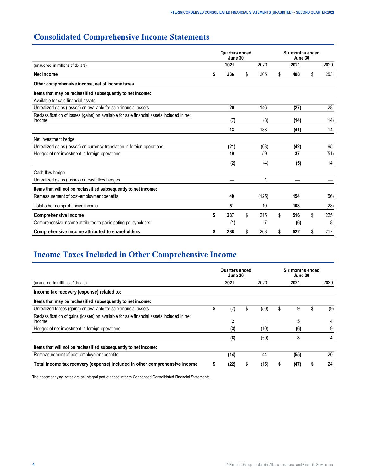# <span id="page-3-0"></span>**Consolidated Comprehensive Income Statements**

|                                                                                                     |                                         | Quarters ended<br>June 30 |           |    | Six months ended<br>June 30 |          |      |
|-----------------------------------------------------------------------------------------------------|-----------------------------------------|---------------------------|-----------|----|-----------------------------|----------|------|
| (unaudited, in millions of dollars)                                                                 |                                         | 2021                      | 2020      |    | 2021                        |          | 2020 |
| Net income                                                                                          | \$                                      | 236                       | \$<br>205 | \$ | 408                         | \$       | 253  |
| Other comprehensive income, net of income taxes                                                     |                                         |                           |           |    |                             |          |      |
| Items that may be reclassified subsequently to net income:                                          |                                         |                           |           |    |                             |          |      |
| Available for sale financial assets                                                                 |                                         |                           |           |    |                             |          |      |
| Unrealized gains (losses) on available for sale financial assets                                    |                                         | 20                        | 146       |    | (27)                        |          | 28   |
| Reclassification of losses (gains) on available for sale financial assets included in net<br>income | (8)<br>(14)<br>(7)<br>13<br>138<br>(41) | (14)                      |           |    |                             |          |      |
|                                                                                                     |                                         |                           |           |    |                             |          | 14   |
| Net investment hedge                                                                                |                                         |                           |           |    |                             |          |      |
| Unrealized gains (losses) on currency translation in foreign operations                             |                                         | (21)                      | (63)      |    | (42)                        |          | 65   |
| Hedges of net investment in foreign operations                                                      |                                         | 19                        | 59        |    | 37                          | \$<br>\$ | (51) |
|                                                                                                     |                                         | (2)                       | (4)       |    | (5)                         |          | 14   |
| Cash flow hedge                                                                                     |                                         |                           |           |    |                             |          |      |
| Unrealized gains (losses) on cash flow hedges                                                       |                                         |                           | 1         |    |                             |          |      |
| Items that will not be reclassified subsequently to net income:                                     |                                         |                           |           |    |                             |          |      |
| Remeasurement of post-employment benefits                                                           |                                         | 40                        | (125)     |    | 154                         |          | (56) |
| Total other comprehensive income                                                                    |                                         | 51                        | 10        |    | 108                         |          | (28) |
| <b>Comprehensive income</b>                                                                         | \$                                      | 287                       | \$<br>215 | \$ | 516                         |          | 225  |
| Comprehensive income attributed to participating policyholders                                      |                                         | (1)                       |           |    | (6)                         |          | 8    |
| Comprehensive income attributed to shareholders                                                     |                                         | 288                       | \$<br>208 | S  | 522                         |          | 217  |

# **Income Taxes Included in Other Comprehensive Income**

|                                                                                                     | Quarters ended<br>June 30 |   |      | Six months ended<br>June 30 |   |      |  |
|-----------------------------------------------------------------------------------------------------|---------------------------|---|------|-----------------------------|---|------|--|
| (unaudited, in millions of dollars)                                                                 | 2021<br>2020              |   |      | 2021                        |   | 2020 |  |
| Income tax recovery (expense) related to:                                                           |                           |   |      |                             |   |      |  |
| Items that may be reclassified subsequently to net income:                                          |                           |   |      |                             |   |      |  |
| Unrealized losses (gains) on available for sale financial assets                                    | (7)                       | S | (50) | 9                           | S | (9)  |  |
| Reclassification of gains (losses) on available for sale financial assets included in net<br>income | 2                         |   |      |                             |   |      |  |
| Hedges of net investment in foreign operations                                                      | (3)                       |   | (10) | (6)                         |   | 9    |  |
|                                                                                                     | (8)                       |   | (59) | 8                           |   |      |  |
| Items that will not be reclassified subsequently to net income:                                     |                           |   |      |                             |   |      |  |
| Remeasurement of post-employment benefits                                                           | (14)                      |   | 44   | (55)                        |   | 20   |  |
| Total income tax recovery (expense) included in other comprehensive income                          | (22)                      |   | (15) | (47)                        |   | 24   |  |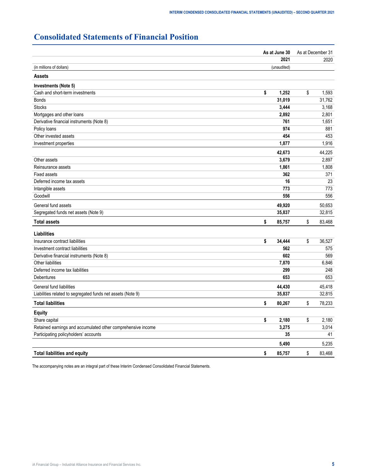# <span id="page-4-0"></span>**Consolidated Statements of Financial Position**

|                                                              | As at June 30 | As at December 31 |  |  |
|--------------------------------------------------------------|---------------|-------------------|--|--|
|                                                              | 2021          | 2020              |  |  |
| (in millions of dollars)                                     | (unaudited)   |                   |  |  |
| <b>Assets</b>                                                |               |                   |  |  |
| Investments (Note 5)                                         |               |                   |  |  |
| Cash and short-term investments                              | \$<br>1,252   | \$<br>1,593       |  |  |
| <b>Bonds</b>                                                 | 31,019        | 31,762            |  |  |
| <b>Stocks</b>                                                | 3,444         | 3,168             |  |  |
| Mortgages and other loans                                    | 2,892         | 2,801             |  |  |
| Derivative financial instruments (Note 8)                    | 761           | 1,651             |  |  |
| Policy loans                                                 | 974           | 881               |  |  |
| Other invested assets                                        | 454           | 453               |  |  |
| Investment properties                                        | 1,877         | 1,916             |  |  |
|                                                              | 42,673        | 44,225            |  |  |
| Other assets                                                 | 3,679         | 2,897             |  |  |
| Reinsurance assets                                           | 1,861         | 1,808             |  |  |
| <b>Fixed assets</b>                                          | 362           | 371               |  |  |
| Deferred income tax assets                                   | 16            | 23                |  |  |
| Intangible assets                                            | 773           | 773               |  |  |
| Goodwill                                                     | 556           | 556               |  |  |
| General fund assets                                          | 49,920        | 50,653            |  |  |
| Segregated funds net assets (Note 9)                         | 35,837        | 32,815            |  |  |
| <b>Total assets</b>                                          | \$<br>85,757  | \$<br>83,468      |  |  |
| Liabilities                                                  |               |                   |  |  |
| Insurance contract liabilities                               | \$<br>34,444  | \$<br>36,527      |  |  |
| Investment contract liabilities                              | 562           | 575               |  |  |
| Derivative financial instruments (Note 8)                    | 602           | 569               |  |  |
| Other liabilities                                            | 7,870         | 6,846             |  |  |
| Deferred income tax liabilities                              | 299           | 248               |  |  |
| Debentures                                                   | 653           | 653               |  |  |
| General fund liabilities                                     | 44,430        | 45,418            |  |  |
| Liabilities related to segregated funds net assets (Note 9)  | 35,837        | 32,815            |  |  |
| <b>Total liabilities</b>                                     | \$<br>80,267  | \$<br>78,233      |  |  |
| <b>Equity</b>                                                |               |                   |  |  |
| Share capital                                                | \$<br>2,180   | \$<br>2,180       |  |  |
| Retained earnings and accumulated other comprehensive income | 3,275         | 3,014             |  |  |
| Participating policyholders' accounts                        | 35            | 41                |  |  |
|                                                              | 5,490         | 5,235             |  |  |
| <b>Total liabilities and equity</b>                          | \$<br>85,757  | \$<br>83,468      |  |  |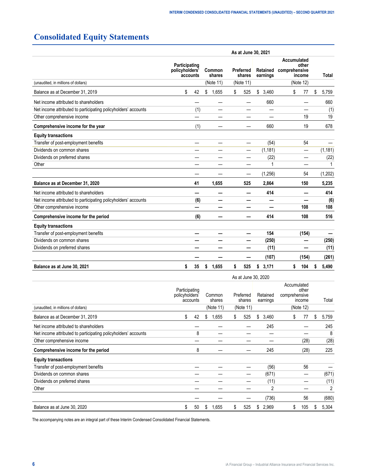# <span id="page-5-0"></span>**Consolidated Equity Statements**

|                                                                |                                                                                                                  |     |                      |                                                 | As at June 30, 2021 |           |    |          |  |  |  |  |  |  |
|----------------------------------------------------------------|------------------------------------------------------------------------------------------------------------------|-----|----------------------|-------------------------------------------------|---------------------|-----------|----|----------|--|--|--|--|--|--|
|                                                                | Participating<br>policyholders'<br>Preferred<br>Common<br>shares<br>shares<br>accounts<br>(Note 11)<br>(Note 11) |     | Retained<br>earnings | Accumulated<br>other<br>comprehensive<br>income |                     | Total     |    |          |  |  |  |  |  |  |
| (unaudited, in millions of dollars)                            |                                                                                                                  |     |                      |                                                 |                     | (Note 12) |    |          |  |  |  |  |  |  |
| Balance as at December 31, 2019                                | \$                                                                                                               | 42  | \$<br>1,655          | \$<br>525                                       | \$<br>3,460         | \$<br>77  | \$ | 5,759    |  |  |  |  |  |  |
| Net income attributed to shareholders                          |                                                                                                                  |     |                      |                                                 | 660                 |           |    | 660      |  |  |  |  |  |  |
| Net income attributed to participating policyholders' accounts |                                                                                                                  | (1) |                      |                                                 |                     |           |    | (1)      |  |  |  |  |  |  |
| Other comprehensive income                                     |                                                                                                                  |     |                      |                                                 |                     | 19        |    | 19       |  |  |  |  |  |  |
| Comprehensive income for the year                              |                                                                                                                  | (1) |                      |                                                 | 660                 | 19        |    | 678      |  |  |  |  |  |  |
| <b>Equity transactions</b>                                     |                                                                                                                  |     |                      |                                                 |                     |           |    |          |  |  |  |  |  |  |
| Transfer of post-employment benefits                           |                                                                                                                  |     |                      |                                                 | (54)                | 54        |    |          |  |  |  |  |  |  |
| Dividends on common shares                                     |                                                                                                                  |     |                      | —                                               | (1, 181)            | —         |    | (1, 181) |  |  |  |  |  |  |
| Dividends on preferred shares                                  |                                                                                                                  |     |                      |                                                 | (22)                |           |    | (22)     |  |  |  |  |  |  |
| Other                                                          |                                                                                                                  |     |                      |                                                 |                     |           |    |          |  |  |  |  |  |  |
|                                                                |                                                                                                                  |     |                      |                                                 | (1, 256)            | 54        |    | (1, 202) |  |  |  |  |  |  |
| Balance as at December 31, 2020                                |                                                                                                                  | 41  | 1,655                | 525                                             | 2,864               | 150       |    | 5,235    |  |  |  |  |  |  |
| Net income attributed to shareholders                          |                                                                                                                  |     |                      |                                                 | 414                 |           |    | 414      |  |  |  |  |  |  |
| Net income attributed to participating policyholders' accounts |                                                                                                                  | (6) |                      |                                                 |                     |           |    | (6)      |  |  |  |  |  |  |
| Other comprehensive income                                     |                                                                                                                  | —   |                      |                                                 |                     | 108       |    | 108      |  |  |  |  |  |  |
| Comprehensive income for the period                            |                                                                                                                  | (6) |                      |                                                 | 414                 | 108       |    | 516      |  |  |  |  |  |  |
| <b>Equity transactions</b>                                     |                                                                                                                  |     |                      |                                                 |                     |           |    |          |  |  |  |  |  |  |
| Transfer of post-employment benefits                           |                                                                                                                  |     |                      |                                                 | 154                 | (154)     |    |          |  |  |  |  |  |  |
| Dividends on common shares                                     |                                                                                                                  |     |                      |                                                 | (250)               |           |    | (250)    |  |  |  |  |  |  |
| Dividends on preferred shares                                  |                                                                                                                  |     |                      |                                                 | (11)                |           |    | (11)     |  |  |  |  |  |  |
|                                                                |                                                                                                                  |     |                      |                                                 | (107)               | (154)     |    | (261)    |  |  |  |  |  |  |
| Balance as at June 30, 2021                                    | \$                                                                                                               | 35  | \$<br>1,655          | \$<br>525                                       | 3,171<br>\$         | \$<br>104 | \$ | 5,490    |  |  |  |  |  |  |

|                                                                | As at June 30, 2020             |          |    |                                                                 |    |           |    |                |                                                 |           |         |                |
|----------------------------------------------------------------|---------------------------------|----------|----|-----------------------------------------------------------------|----|-----------|----|----------------|-------------------------------------------------|-----------|---------|----------------|
|                                                                | Participating<br>policyholders' | accounts |    | Common<br>Preferred<br>Retained<br>shares<br>shares<br>earnings |    |           |    |                | Accumulated<br>other<br>comprehensive<br>income |           |         | Total          |
| (unaudited, in millions of dollars)                            |                                 |          |    | (Note 11)                                                       |    | (Note 11) |    |                |                                                 | (Note 12) | \$<br>S |                |
| Balance as at December 31, 2019                                | \$                              | 42       | \$ | 1,655                                                           | \$ | 525       | \$ | 3,460          |                                                 | 77<br>\$  |         | 5,759          |
| Net income attributed to shareholders                          |                                 |          |    |                                                                 |    |           |    | 245            |                                                 |           |         | 245            |
| Net income attributed to participating policyholders' accounts |                                 | 8        |    |                                                                 |    |           |    |                |                                                 |           |         | 8              |
| Other comprehensive income                                     |                                 |          |    |                                                                 |    |           |    |                |                                                 | (28)      |         | (28)           |
| Comprehensive income for the period                            |                                 | 8        |    |                                                                 |    |           |    | 245            |                                                 | (28)      |         | 225            |
| <b>Equity transactions</b>                                     |                                 |          |    |                                                                 |    |           |    |                |                                                 |           |         |                |
| Transfer of post-employment benefits                           |                                 |          |    |                                                                 |    |           |    | (56)           |                                                 | 56        |         |                |
| Dividends on common shares                                     |                                 |          |    |                                                                 |    |           |    | (671)          |                                                 |           |         | (671)          |
| Dividends on preferred shares                                  |                                 |          |    |                                                                 |    |           |    | (11)           |                                                 |           |         | (11)           |
| Other                                                          |                                 |          |    |                                                                 |    |           |    | $\overline{2}$ |                                                 |           |         | $\overline{2}$ |
|                                                                |                                 |          |    |                                                                 |    |           |    | (736)          |                                                 | 56        |         | (680)          |
| Balance as at June 30, 2020                                    | \$                              | 50       | \$ | 1,655                                                           | S  | 525       | S  | 2,969          | \$                                              | 105       |         | 5,304          |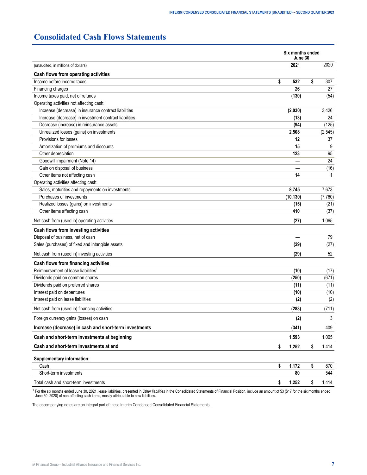# <span id="page-6-0"></span>**Consolidated Cash Flows Statements**

| (unaudited, in millions of dollars)<br>Increase (decrease) in insurance contract liabilities<br>Increase (decrease) in investment contract liabilities<br>Decrease (increase) in reinsurance assets<br>Unrealized losses (gains) on investments<br>Provisions for losses<br>Amortization of premiums and discounts<br>Other depreciation<br>Goodwill impairment (Note 14)<br>Gain on disposal of business<br>Other items not affecting cash<br>Operating activities affecting cash:<br>Sales, maturities and repayments on investments<br>Purchases of investments<br>Realized losses (gains) on investments<br>Other items affecting cash<br>Cash flows from investing activities<br>Disposal of business, net of cash<br>Sales (purchases) of fixed and intangible assets<br>Dividends paid on preferred shares<br>Interest paid on debentures<br>Interest paid on lease liabilities<br>Cash<br>Short-term investments | Six months ended<br>June 30 |    |          |  |
|--------------------------------------------------------------------------------------------------------------------------------------------------------------------------------------------------------------------------------------------------------------------------------------------------------------------------------------------------------------------------------------------------------------------------------------------------------------------------------------------------------------------------------------------------------------------------------------------------------------------------------------------------------------------------------------------------------------------------------------------------------------------------------------------------------------------------------------------------------------------------------------------------------------------------|-----------------------------|----|----------|--|
|                                                                                                                                                                                                                                                                                                                                                                                                                                                                                                                                                                                                                                                                                                                                                                                                                                                                                                                          | 2021                        |    | 2020     |  |
| Cash flows from operating activities                                                                                                                                                                                                                                                                                                                                                                                                                                                                                                                                                                                                                                                                                                                                                                                                                                                                                     |                             |    |          |  |
| Income before income taxes                                                                                                                                                                                                                                                                                                                                                                                                                                                                                                                                                                                                                                                                                                                                                                                                                                                                                               | \$<br>532                   | \$ | 307      |  |
| Financing charges                                                                                                                                                                                                                                                                                                                                                                                                                                                                                                                                                                                                                                                                                                                                                                                                                                                                                                        | 26                          |    | 27       |  |
| Income taxes paid, net of refunds                                                                                                                                                                                                                                                                                                                                                                                                                                                                                                                                                                                                                                                                                                                                                                                                                                                                                        | (130)                       |    | (54)     |  |
| Operating activities not affecting cash:                                                                                                                                                                                                                                                                                                                                                                                                                                                                                                                                                                                                                                                                                                                                                                                                                                                                                 |                             |    |          |  |
|                                                                                                                                                                                                                                                                                                                                                                                                                                                                                                                                                                                                                                                                                                                                                                                                                                                                                                                          | (2,030)                     |    | 3,426    |  |
|                                                                                                                                                                                                                                                                                                                                                                                                                                                                                                                                                                                                                                                                                                                                                                                                                                                                                                                          | (13)                        |    | 24       |  |
|                                                                                                                                                                                                                                                                                                                                                                                                                                                                                                                                                                                                                                                                                                                                                                                                                                                                                                                          | (94)                        |    | (125)    |  |
|                                                                                                                                                                                                                                                                                                                                                                                                                                                                                                                                                                                                                                                                                                                                                                                                                                                                                                                          | 2,508                       |    | (2, 545) |  |
|                                                                                                                                                                                                                                                                                                                                                                                                                                                                                                                                                                                                                                                                                                                                                                                                                                                                                                                          | 12                          |    | 37       |  |
|                                                                                                                                                                                                                                                                                                                                                                                                                                                                                                                                                                                                                                                                                                                                                                                                                                                                                                                          | 15                          |    | 9        |  |
|                                                                                                                                                                                                                                                                                                                                                                                                                                                                                                                                                                                                                                                                                                                                                                                                                                                                                                                          | 123                         |    | 95       |  |
|                                                                                                                                                                                                                                                                                                                                                                                                                                                                                                                                                                                                                                                                                                                                                                                                                                                                                                                          |                             |    | 24       |  |
|                                                                                                                                                                                                                                                                                                                                                                                                                                                                                                                                                                                                                                                                                                                                                                                                                                                                                                                          |                             |    | (16)     |  |
|                                                                                                                                                                                                                                                                                                                                                                                                                                                                                                                                                                                                                                                                                                                                                                                                                                                                                                                          | 14                          |    | 1        |  |
|                                                                                                                                                                                                                                                                                                                                                                                                                                                                                                                                                                                                                                                                                                                                                                                                                                                                                                                          |                             |    |          |  |
|                                                                                                                                                                                                                                                                                                                                                                                                                                                                                                                                                                                                                                                                                                                                                                                                                                                                                                                          | 8,745                       |    | 7,673    |  |
|                                                                                                                                                                                                                                                                                                                                                                                                                                                                                                                                                                                                                                                                                                                                                                                                                                                                                                                          | (10, 130)                   |    | (7,760)  |  |
|                                                                                                                                                                                                                                                                                                                                                                                                                                                                                                                                                                                                                                                                                                                                                                                                                                                                                                                          | (15)                        |    | (21)     |  |
|                                                                                                                                                                                                                                                                                                                                                                                                                                                                                                                                                                                                                                                                                                                                                                                                                                                                                                                          | 410                         |    | (37)     |  |
| Net cash from (used in) operating activities                                                                                                                                                                                                                                                                                                                                                                                                                                                                                                                                                                                                                                                                                                                                                                                                                                                                             | (27)                        |    | 1,065    |  |
|                                                                                                                                                                                                                                                                                                                                                                                                                                                                                                                                                                                                                                                                                                                                                                                                                                                                                                                          |                             |    |          |  |
|                                                                                                                                                                                                                                                                                                                                                                                                                                                                                                                                                                                                                                                                                                                                                                                                                                                                                                                          |                             |    | 79       |  |
|                                                                                                                                                                                                                                                                                                                                                                                                                                                                                                                                                                                                                                                                                                                                                                                                                                                                                                                          | (29)                        |    | (27)     |  |
| Net cash from (used in) investing activities                                                                                                                                                                                                                                                                                                                                                                                                                                                                                                                                                                                                                                                                                                                                                                                                                                                                             | (29)                        |    | 52       |  |
| Cash flows from financing activities                                                                                                                                                                                                                                                                                                                                                                                                                                                                                                                                                                                                                                                                                                                                                                                                                                                                                     |                             |    |          |  |
| Reimbursement of lease liabilities <sup>1</sup>                                                                                                                                                                                                                                                                                                                                                                                                                                                                                                                                                                                                                                                                                                                                                                                                                                                                          | (10)                        |    | (17)     |  |
| Dividends paid on common shares                                                                                                                                                                                                                                                                                                                                                                                                                                                                                                                                                                                                                                                                                                                                                                                                                                                                                          | (250)                       |    | (671)    |  |
|                                                                                                                                                                                                                                                                                                                                                                                                                                                                                                                                                                                                                                                                                                                                                                                                                                                                                                                          | (11)                        |    | (11)     |  |
|                                                                                                                                                                                                                                                                                                                                                                                                                                                                                                                                                                                                                                                                                                                                                                                                                                                                                                                          | (10)                        |    | (10)     |  |
|                                                                                                                                                                                                                                                                                                                                                                                                                                                                                                                                                                                                                                                                                                                                                                                                                                                                                                                          | (2)                         |    | (2)      |  |
| Net cash from (used in) financing activities                                                                                                                                                                                                                                                                                                                                                                                                                                                                                                                                                                                                                                                                                                                                                                                                                                                                             | (283)                       |    | (711)    |  |
| Foreign currency gains (losses) on cash                                                                                                                                                                                                                                                                                                                                                                                                                                                                                                                                                                                                                                                                                                                                                                                                                                                                                  | (2)                         |    | 3        |  |
| Increase (decrease) in cash and short-term investments                                                                                                                                                                                                                                                                                                                                                                                                                                                                                                                                                                                                                                                                                                                                                                                                                                                                   | (341)                       |    | 409      |  |
| Cash and short-term investments at beginning                                                                                                                                                                                                                                                                                                                                                                                                                                                                                                                                                                                                                                                                                                                                                                                                                                                                             | 1,593                       |    | 1,005    |  |
| Cash and short-term investments at end                                                                                                                                                                                                                                                                                                                                                                                                                                                                                                                                                                                                                                                                                                                                                                                                                                                                                   | \$<br>1,252                 | \$ | 1,414    |  |
| Supplementary information:                                                                                                                                                                                                                                                                                                                                                                                                                                                                                                                                                                                                                                                                                                                                                                                                                                                                                               |                             |    |          |  |
|                                                                                                                                                                                                                                                                                                                                                                                                                                                                                                                                                                                                                                                                                                                                                                                                                                                                                                                          | \$<br>1,172                 | \$ | 870      |  |
|                                                                                                                                                                                                                                                                                                                                                                                                                                                                                                                                                                                                                                                                                                                                                                                                                                                                                                                          | ${\bf 80}$                  |    | 544      |  |
| Total cash and short-term investments                                                                                                                                                                                                                                                                                                                                                                                                                                                                                                                                                                                                                                                                                                                                                                                                                                                                                    | \$<br>1,252                 | \$ | 1,414    |  |

<sup>1</sup> For the six months ended June 30, 2021, lease liabilities, presented in Ot*her liabilities* in the Consolidated Statements of Financial Position, include an amount of \$3 (\$17 for the six months ended<br>June 30, 2020) of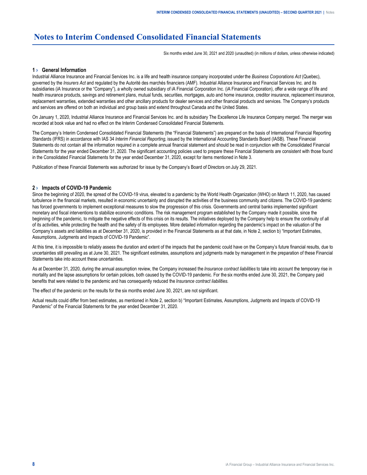# <span id="page-7-0"></span>**Notes to Interim Condensed Consolidated Financial Statements**

Six months ended June 30, 2021 and 2020 (unaudited) (in millions of dollars, unless otherwise indicated)

# **1 › General Information**

Industrial Alliance Insurance and Financial Services Inc. is a life and health insurance company incorporated under the *Business Corporations Act* (Quebec), governed by the *Insurers Act* and regulated by the Autorité des marchés financiers (AMF). Industrial Alliance Insurance and Financial Services Inc. and its subsidiaries (iA Insurance or the "Company"), a wholly owned subsidiary of iA Financial Corporation Inc. (iA Financial Corporation), offer a wide range of life and health insurance products, savings and retirement plans, mutual funds, securities, mortgages, auto and home insurance, creditor insurance, replacement insurance, replacement warranties, extended warranties and other ancillary products for dealer services and other financial products and services. The Company's products and services are offered on both an individual and group basis and extend throughout Canada and the United States.

On January 1, 2020, Industrial Alliance Insurance and Financial Services Inc. and its subsidiary The Excellence Life Insurance Company merged. The merger was recorded at book value and had no effect on the Interim Condensed Consolidated Financial Statements.

The Company's Interim Condensed Consolidated Financial Statements (the "Financial Statements") are prepared on the basis of International Financial Reporting Standards (IFRS) in accordance with IAS 34 *Interim Financial Reporting*, issued by the International Accounting Standards Board (IASB). These Financial Statements do not contain all the information required in a complete annual financial statement and should be read in conjunction with the Consolidated Financial Statements for the year ended December 31, 2020. The significant accounting policies used to prepare these Financial Statements are consistent with those found in the Consolidated Financial Statements for the year ended December 31, 2020, except for items mentioned in Note 3.

Publication of these Financial Statements was authorized for issue by the Company's Board of Directors on July 29, 2021.

# **2 › Impacts of COVID-19 Pandemic**

Since the beginning of 2020, the spread of the COVID-19 virus, elevated to a pandemic by the World Health Organization (WHO) on March 11, 2020, has caused turbulence in the financial markets, resulted in economic uncertainty and disrupted the activities of the business community and citizens. The COVID-19 pandemic has forced governments to implement exceptional measures to slow the progression of this crisis. Governments and central banks implemented significant monetary and fiscal interventions to stabilize economic conditions. The risk management program established by the Company made it possible, since the beginning of the pandemic, to mitigate the negative effects of this crisis on its results. The initiatives deployed by the Company help to ensure the continuity of all of its activities, while protecting the health and the safety of its employees. More detailed information regarding the pandemic's impact on the valuation of the Company's assets and liabilities as at December 31, 2020, is provided in the Financial Statements as at that date, in Note 2, section b) "Important Estimates, Assumptions, Judgments and Impacts of COVID-19 Pandemic".

At this time, it is impossible to reliably assess the duration and extent of the impacts that the pandemic could have on the Company's future financial results, due to uncertainties still prevailing as at June 30, 2021. The significant estimates, assumptions and judgments made by management in the preparation of these Financial Statements take into account these uncertainties.

As at December 31, 2020, during the annual assumption review, the Company increased the *Insurance contract liabilities* to take into account the temporary rise in mortality and the lapse assumptions for certain policies, both caused by the COVID-19 pandemic. For the six months ended June 30, 2021, the Company paid benefits that were related to the pandemic and has consequently reduced the *Insurance contract liabilities*.

The effect of the pandemic on the results for the six months ended June 30, 2021, are not significant.

Actual results could differ from best estimates, as mentioned in Note 2, section b) "Important Estimates, Assumptions, Judgments and Impacts of COVID-19 Pandemic" of the Financial Statements for the year ended December 31, 2020.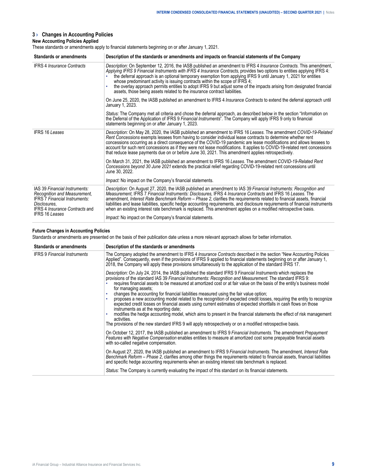# <span id="page-8-0"></span>**3 › Changes in Accounting Policies**

# **New Accounting Policies Applied**

These standards or amendments apply to financial statements beginning on or after January 1, 2021.

| Standards or amendments                                                                                                                                                                 | Description of the standards or amendments and impacts on financial statements of the Company                                                                                                                                                                                                                                                                                                                                                                                                                                                                                                                                                            |  |  |  |  |  |  |  |
|-----------------------------------------------------------------------------------------------------------------------------------------------------------------------------------------|----------------------------------------------------------------------------------------------------------------------------------------------------------------------------------------------------------------------------------------------------------------------------------------------------------------------------------------------------------------------------------------------------------------------------------------------------------------------------------------------------------------------------------------------------------------------------------------------------------------------------------------------------------|--|--|--|--|--|--|--|
| <b>IFRS 4 Insurance Contracts</b>                                                                                                                                                       | Description: On September 12, 2016, the IASB published an amendment to IFRS 4 Insurance Contracts. This amendment,<br>Applying IFRS 9 Financial Instruments with IFRS 4 Insurance Contracts, provides two options to entities applying IFRS 4:<br>the deferral approach is an optional temporary exemption from applying IFRS 9 until January 1, 2021 for entities<br>whose predominant activity is issuing contracts within the scope of IFRS 4;<br>the overlay approach permits entities to adopt IFRS 9 but adjust some of the impacts arising from designated financial<br>assets, those being assets related to the insurance contract liabilities. |  |  |  |  |  |  |  |
|                                                                                                                                                                                         | On June 25, 2020, the IASB published an amendment to IFRS 4 Insurance Contracts to extend the deferral approach until<br>January 1, 2023.                                                                                                                                                                                                                                                                                                                                                                                                                                                                                                                |  |  |  |  |  |  |  |
|                                                                                                                                                                                         | Status: The Company met all criteria and chose the deferral approach, as described below in the section "Information on<br>the Deferral of the Application of IFRS 9 Financial Instruments". The Company will apply IFRS 9 only to financial<br>statements beginning on or after January 1, 2023.                                                                                                                                                                                                                                                                                                                                                        |  |  |  |  |  |  |  |
| <b>IFRS 16 Leases</b>                                                                                                                                                                   | Description: On May 28, 2020, the IASB published an amendment to IFRS 16 Leases. The amendment COVID-19-Related<br>Rent Concessions exempts lessees from having to consider individual lease contracts to determine whether rent<br>concessions occurring as a direct consequence of the COVID-19 pandemic are lease modifications and allows lessees to<br>account for such rent concessions as if they were not lease modifications. It applies to COVID-19-related rent concessions<br>that reduce lease payments due on or before June 30, 2021. This amendment applies retrospectively.                                                             |  |  |  |  |  |  |  |
|                                                                                                                                                                                         | On March 31, 2021, the IASB published an amendment to IFRS 16 Leases. The amendment COVID-19-Related Rent<br>Concessions beyond 30 June 2021 extends the practical relief regarding COVID-19-related rent concessions until<br>June 30, 2022.                                                                                                                                                                                                                                                                                                                                                                                                            |  |  |  |  |  |  |  |
|                                                                                                                                                                                         | <i>Impact:</i> No impact on the Company's financial statements.                                                                                                                                                                                                                                                                                                                                                                                                                                                                                                                                                                                          |  |  |  |  |  |  |  |
| IAS 39 Financial Instruments:<br>Recognition and Measurement,<br><b>IFRS 7 Financial Instruments:</b><br>Disclosures,<br><b>IFRS 4 Insurance Contracts and</b><br><b>IFRS 16 Leases</b> | Description: On August 27, 2020, the IASB published an amendment to IAS 39 Financial Instruments: Recognition and<br>Measurement, IFRS 7 Financial Instruments: Disclosures, IFRS 4 Insurance Contracts and IFRS 16 Leases. The<br>amendment, Interest Rate Benchmark Reform - Phase 2, clarifies the requirements related to financial assets, financial<br>liabilities and lease liabilities, specific hedge accounting requirements, and disclosure requirements of financial instruments<br>when an existing interest rate benchmark is replaced. This amendment applies on a modified retrospective basis.                                          |  |  |  |  |  |  |  |
|                                                                                                                                                                                         | Impact: No impact on the Company's financial statements.                                                                                                                                                                                                                                                                                                                                                                                                                                                                                                                                                                                                 |  |  |  |  |  |  |  |

# **Future Changes in Accounting Policies**

Standards or amendments are presented on the basis of their publication date unless a more relevant approach allows for better information.

| <b>Standards or amendments</b>      | Description of the standards or amendments                                                                                                                                                                                                                                                                                                                                                                                                                                                                                                                                                                                                                                                                                                                                                                                                                                                                                                                                                                             |
|-------------------------------------|------------------------------------------------------------------------------------------------------------------------------------------------------------------------------------------------------------------------------------------------------------------------------------------------------------------------------------------------------------------------------------------------------------------------------------------------------------------------------------------------------------------------------------------------------------------------------------------------------------------------------------------------------------------------------------------------------------------------------------------------------------------------------------------------------------------------------------------------------------------------------------------------------------------------------------------------------------------------------------------------------------------------|
| <b>IFRS 9 Financial Instruments</b> | The Company adopted the amendment to IFRS 4 Insurance Contracts described in the section "New Accounting Policies<br>Applied". Consequently, even if the provisions of IFRS 9 applied to financial statements beginning on or after January 1,<br>2018, the Company will apply these provisions simultaneously to the application of the standard IFRS 17.                                                                                                                                                                                                                                                                                                                                                                                                                                                                                                                                                                                                                                                             |
|                                     | Description: On July 24, 2014, the IASB published the standard IFRS 9 Financial Instruments which replaces the<br>provisions of the standard IAS 39 Financial Instruments: Recognition and Measurement. The standard IFRS 9:<br>requires financial assets to be measured at amortized cost or at fair value on the basis of the entity's business model<br>for managing assets:<br>changes the accounting for financial liabilities measured using the fair value option;<br>proposes a new accounting model related to the recognition of expected credit losses, requiring the entity to recognize<br>expected credit losses on financial assets using current estimates of expected shortfalls in cash flows on those<br>instruments as at the reporting date:<br>modifies the hedge accounting model, which aims to present in the financial statements the effect of risk management<br>activities.<br>The provisions of the new standard IFRS 9 will apply retrospectively or on a modified retrospective basis. |
|                                     | On October 12, 2017, the IASB published an amendment to IFRS 9 Financial Instruments. The amendment Prepayment<br>Features with Negative Compensation enables entities to measure at amortized cost some prepayable financial assets<br>with so-called negative compensation.                                                                                                                                                                                                                                                                                                                                                                                                                                                                                                                                                                                                                                                                                                                                          |
|                                     | On August 27, 2020, the IASB published an amendment to IFRS 9 Financial Instruments. The amendment, Interest Rate<br>Benchmark Reform – Phase 2, clarifies among other things the requirements related to financial assets, financial liabilities<br>and specific hedge accounting requirements when an existing interest rate benchmark is replaced.                                                                                                                                                                                                                                                                                                                                                                                                                                                                                                                                                                                                                                                                  |
|                                     | Status: The Company is currently evaluating the impact of this standard on its financial statements.                                                                                                                                                                                                                                                                                                                                                                                                                                                                                                                                                                                                                                                                                                                                                                                                                                                                                                                   |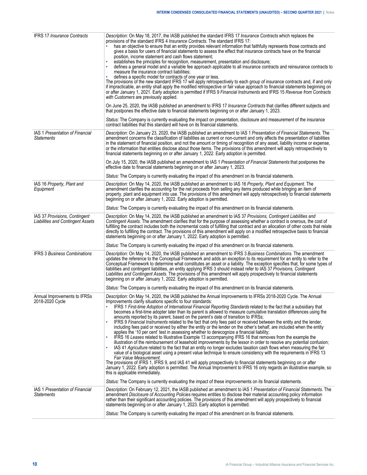| <b>IFRS 17 Insurance Contracts</b>                                        | Description: On May 18, 2017, the IASB published the standard IFRS 17 Insurance Contracts which replaces the<br>provisions of the standard IFRS 4 <i>Insurance Contracts</i> . The standard IFRS 17:<br>has an objective to ensure that an entity provides relevant information that faithfully represents those contracts and<br>gives a basis for users of financial statements to assess the effect that insurance contracts have on the financial<br>position, income statement and cash flows statement;<br>establishes the principles for recognition, measurement, presentation and disclosure;<br>defines a general model and a variable fee approach applicable to all insurance contracts and reinsurance contracts to<br>measure the insurance contract liabilities;<br>defines a specific model for contracts of one year or less.<br>The provisions of the new standard IFRS 17 will apply retrospectively to each group of insurance contracts and, if and only<br>if impracticable, an entity shall apply the modified retrospective or fair value approach to financial statements beginning on<br>or after January 1, 2021. Early adoption is permitted if IFRS 9 Financial Instruments and IFRS 15 Revenue from Contracts<br>with Customers are previously applied.<br>On June 25, 2020, the IASB published an amendment to IFRS 17 Insurance Contracts that clarifies different subjects and<br>that postpones the effective date to financial statements beginning on or after January 1, 2023.<br>Status: The Company is currently evaluating the impact on presentation, disclosure and measurement of the insurance                             |
|---------------------------------------------------------------------------|------------------------------------------------------------------------------------------------------------------------------------------------------------------------------------------------------------------------------------------------------------------------------------------------------------------------------------------------------------------------------------------------------------------------------------------------------------------------------------------------------------------------------------------------------------------------------------------------------------------------------------------------------------------------------------------------------------------------------------------------------------------------------------------------------------------------------------------------------------------------------------------------------------------------------------------------------------------------------------------------------------------------------------------------------------------------------------------------------------------------------------------------------------------------------------------------------------------------------------------------------------------------------------------------------------------------------------------------------------------------------------------------------------------------------------------------------------------------------------------------------------------------------------------------------------------------------------------------------------------------------------------------------------------------|
| <b>IAS 1 Presentation of Financial</b><br><b>Statements</b>               | contract liabilities that this standard will have on its financial statements.<br>Description: On January 23, 2020, the IASB published an amendment to IAS 1 Presentation of Financial Statements. The<br>amendment concerns the classification of liabilities as current or non-current and only affects the presentation of liabilities<br>in the statement of financial position, and not the amount or timing of recognition of any asset, liability income or expense,<br>or the information that entities disclose about those items. The provisions of this amendment will apply retrospectively to<br>financial statements beginning on or after January 1, 2022. Early adoption is permitted.                                                                                                                                                                                                                                                                                                                                                                                                                                                                                                                                                                                                                                                                                                                                                                                                                                                                                                                                                                 |
|                                                                           | On July 15, 2020, the IASB published an amendment to IAS 1 Presentation of Financial Statements that postpones the<br>effective date to financial statements beginning on or after January 1, 2023.<br>Status: The Company is currently evaluating the impact of this amendment on its financial statements.                                                                                                                                                                                                                                                                                                                                                                                                                                                                                                                                                                                                                                                                                                                                                                                                                                                                                                                                                                                                                                                                                                                                                                                                                                                                                                                                                           |
| IAS 16 Property, Plant and<br>Equipment                                   | Description: On May 14, 2020, the IASB published an amendment to IAS 16 Property, Plant and Equipment. The<br>amendment clarifies the accounting for the net proceeds from selling any items produced while bringing an item of<br>property, plant and equipment into use. The provisions of this amendment will apply retrospectively to financial statements<br>beginning on or after January 1, 2022. Early adoption is permitted.                                                                                                                                                                                                                                                                                                                                                                                                                                                                                                                                                                                                                                                                                                                                                                                                                                                                                                                                                                                                                                                                                                                                                                                                                                  |
|                                                                           | Status: The Company is currently evaluating the impact of this amendment on its financial statements.                                                                                                                                                                                                                                                                                                                                                                                                                                                                                                                                                                                                                                                                                                                                                                                                                                                                                                                                                                                                                                                                                                                                                                                                                                                                                                                                                                                                                                                                                                                                                                  |
| IAS 37 Provisions, Contingent<br><b>Liabilities and Contingent Assets</b> | Description: On May 14, 2020, the IASB published an amendment to IAS 37 Provisions, Contingent Liabilities and<br>Contingent Assets. The amendment clarifies that for the purpose of assessing whether a contract is onerous, the cost of<br>fulfilling the contract includes both the incremental costs of fulfilling that contract and an allocation of other costs that relate<br>directly to fulfilling the contract. The provisions of this amendment will apply on a modified retrospective basis to financial<br>statements beginning on or after January 1, 2022. Early adoption is permitted.                                                                                                                                                                                                                                                                                                                                                                                                                                                                                                                                                                                                                                                                                                                                                                                                                                                                                                                                                                                                                                                                 |
|                                                                           | Status: The Company is currently evaluating the impact of this amendment on its financial statements.                                                                                                                                                                                                                                                                                                                                                                                                                                                                                                                                                                                                                                                                                                                                                                                                                                                                                                                                                                                                                                                                                                                                                                                                                                                                                                                                                                                                                                                                                                                                                                  |
| <b>IFRS 3 Business Combinations</b>                                       | Description: On May 14, 2020, the IASB published an amendment to IFRS 3 Business Combinations. The amendment<br>updates the reference to the Conceptual Framework and adds an exception to its requirement for an entity to refer to the<br>Conceptual Framework to determine what constitutes an asset or a liability. The exception specifies that, for some types of<br>liabilities and contingent liabilities, an entity applying IFRS 3 should instead refer to IAS 37 Provisions, Contingent<br>Liabilities and Contingent Assets. The provisions of this amendment will apply prospectively to financial statements<br>beginning on or after January 1, 2022. Early adoption is permitted.                                                                                                                                                                                                                                                                                                                                                                                                                                                                                                                                                                                                                                                                                                                                                                                                                                                                                                                                                                      |
|                                                                           | Status: The Company is currently evaluating the impact of this amendment on its financial statements.                                                                                                                                                                                                                                                                                                                                                                                                                                                                                                                                                                                                                                                                                                                                                                                                                                                                                                                                                                                                                                                                                                                                                                                                                                                                                                                                                                                                                                                                                                                                                                  |
| Annual Improvements to IFRSs<br>2018-2020 Cycle                           | Description: On May 14, 2020, the IASB published the Annual Improvements to IFRSs 2018-2020 Cycle. The Annual<br>Improvements clarity situations specific to four standards:<br>IFRS 1 First-time Adoption of International Financial Reporting Standards related to the fact that a subsidiary that<br>becomes a first-time adopter later than its parent is allowed to measure cumulative translation differences using the<br>amounts reported by its parent, based on the parent's date of transition to IFRSs;<br>IFRS 9 Financial Instruments related to the fact that only fees paid or received between the entity and the lender,<br>including fees paid or received by either the entity or the lender on the other's behalf, are included when the entity<br>applies the '10 per cent' test in assessing whether to derecognize a financial liability;<br>IFRS 16 Leases related to Illustrative Example 13 accompanying IFRS 16 that removes from the example the<br>illustration of the reimbursement of leasehold improvements by the lessor in order to resolve any potential confusion;<br>IAS 41 Agriculture related to the fact that an entity no longer excludes taxation cash flows when measuring the fair<br>value of a biological asset using a present value technique to ensure consistency with the requirements in IFRS 13<br>Fair Value Measurement.<br>The provisions of IFRS 1, IFRS 9, and IAS 41 will apply prospectively to financial statements beginning on or after<br>January 1, 2022. Early adoption is permitted. The Annual Improvement to IFRS 16 only regards an illustrative example, so<br>this is applicable immediately. |
|                                                                           | Status: The Company is currently evaluating the impact of these improvements on its financial statements.                                                                                                                                                                                                                                                                                                                                                                                                                                                                                                                                                                                                                                                                                                                                                                                                                                                                                                                                                                                                                                                                                                                                                                                                                                                                                                                                                                                                                                                                                                                                                              |
| IAS 1 Presentation of Financial<br>Statements                             | Description: On February 12, 2021, the IASB published an amendment to IAS 1 Presentation of Financial Statements. The<br>amendment Disclosure of Accounting Policies requires entities to disclose their material accounting policy information<br>rather than their significant accounting policies. The provisions of this amendment will apply prospectively to financial<br>statements beginning on or after January 1, 2023. Early adoption is permitted.                                                                                                                                                                                                                                                                                                                                                                                                                                                                                                                                                                                                                                                                                                                                                                                                                                                                                                                                                                                                                                                                                                                                                                                                         |
|                                                                           | Status: The Company is currently evaluating the impact of this amendment on its financial statements.                                                                                                                                                                                                                                                                                                                                                                                                                                                                                                                                                                                                                                                                                                                                                                                                                                                                                                                                                                                                                                                                                                                                                                                                                                                                                                                                                                                                                                                                                                                                                                  |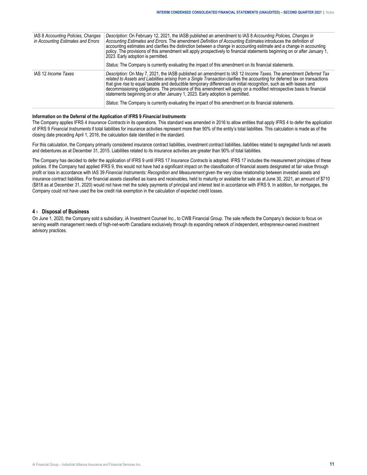<span id="page-10-0"></span>

| IAS 8 Accounting Policies, Changes<br>in Accounting Estimates and Errors | Description: On February 12, 2021, the IASB published an amendment to IAS 8 Accounting Policies, Changes in<br>Accounting Estimates and Errors. The amendment Definition of Accounting Estimates introduces the definition of<br>accounting estimates and clarifies the distinction between a change in accounting estimate and a change in accounting<br>policy. The provisions of this amendment will apply prospectively to financial statements beginning on or after January 1,<br>2023. Early adoption is permitted.<br>Status: The Company is currently evaluating the impact of this amendment on its financial statements.                                                            |
|--------------------------------------------------------------------------|------------------------------------------------------------------------------------------------------------------------------------------------------------------------------------------------------------------------------------------------------------------------------------------------------------------------------------------------------------------------------------------------------------------------------------------------------------------------------------------------------------------------------------------------------------------------------------------------------------------------------------------------------------------------------------------------|
| IAS 12 Income Taxes                                                      | Description: On May 7, 2021, the IASB published an amendment to IAS 12 Income Taxes. The amendment Deferred Tax<br>related to Assets and Liabilities arising from a Single Transaction clarifies the accounting for deferred tax on transactions<br>that give rise to equal taxable and deductible temporary differences on initial recognition, such as with leases and<br>decommissioning obligations. The provisions of this amendment will apply on a modified retrospective basis to financial<br>statements beginning on or after January 1, 2023. Early adoption is permitted.<br>Status: The Company is currently evaluating the impact of this amendment on its financial statements. |

## **Information on the Deferral of the Application of IFRS 9** *Financial Instruments*

The Company applies IFRS 4 *Insurance Contracts* in its operations. This standard was amended in 2016 to allow entities that apply IFRS 4 to defer the application of IFRS 9 *Financial Instruments* if total liabilities for insurance activities represent more than 90% of the entity's total liabilities. This calculation is made as of the closing date preceding April 1, 2016, the calculation date identified in the standard.

For this calculation, the Company primarily considered insurance contract liabilities, investment contract liabilities, liabilities related to segregated funds net assets and debentures as at December 31, 2015. Liabilities related to its insurance activities are greater than 90% of total liabilities.

The Company has decided to defer the application of IFRS 9 until IFRS 17 *Insurance Contracts* is adopted. IFRS 17 includes the measurement principles of these policies. If the Company had applied IFRS 9, this would not have had a significant impact on the classification of financial assets designated at fair value through profit or loss in accordance with IAS 39 *Financial Instruments: Recognition and Measurement* given the very close relationship between invested assets and insurance contract liabilities. For financial assets classified as loans and receivables, held to maturity or available for sale as at June 30, 2021, an amount of \$710 (\$818 as at December 31, 2020) would not have met the solely payments of principal and interest test in accordance with IFRS 9. In addition, for mortgages, the Company could not have used the low credit risk exemption in the calculation of expected credit losses.

## **4 › Disposal of Business**

On June 1, 2020, the Company sold a subsidiary, iA Investment Counsel Inc., to CWB Financial Group. The sale reflects the Company's decision to focus on serving wealth management needs of high-net-worth Canadians exclusively through its expanding network of independent, entrepreneur-owned investment advisory practices.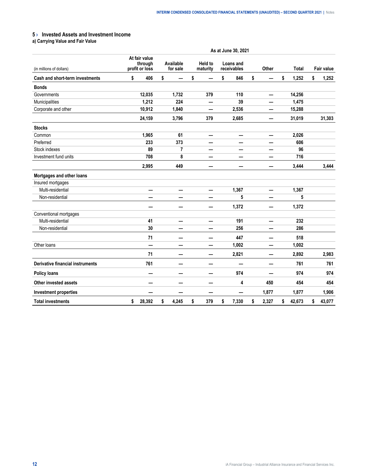# <span id="page-11-0"></span>**5 › Invested Assets and Investment Income**

**a) Carrying Value and Fair Value**

|                                         | As at June 30, 2021                        |        |                       |       |                     |     |    |                          |    |       |    |        |    |                   |
|-----------------------------------------|--------------------------------------------|--------|-----------------------|-------|---------------------|-----|----|--------------------------|----|-------|----|--------|----|-------------------|
| (in millions of dollars)                | At fair value<br>through<br>profit or loss |        | Available<br>for sale |       | Held to<br>maturity |     |    | Loans and<br>receivables |    | Other |    | Total  |    | <b>Fair value</b> |
| <b>Cash and short-term investments</b>  | \$                                         | 406    | \$                    |       | \$                  |     | \$ | 846                      | \$ |       | \$ | 1,252  | \$ | 1,252             |
| <b>Bonds</b>                            |                                            |        |                       |       |                     |     |    |                          |    |       |    |        |    |                   |
| Governments                             |                                            | 12,035 |                       | 1,732 |                     | 379 |    | 110                      |    |       |    | 14,256 |    |                   |
| Municipalities                          |                                            | 1,212  |                       | 224   |                     |     |    | 39                       |    |       |    | 1,475  |    |                   |
| Corporate and other                     |                                            | 10,912 |                       | 1,840 |                     |     |    | 2,536                    |    |       |    | 15,288 |    |                   |
|                                         |                                            | 24,159 |                       | 3,796 |                     | 379 |    | 2,685                    |    |       |    | 31,019 |    | 31,303            |
| <b>Stocks</b>                           |                                            |        |                       |       |                     |     |    |                          |    |       |    |        |    |                   |
| Common                                  |                                            | 1,965  |                       | 61    |                     | —   |    | —                        |    |       |    | 2,026  |    |                   |
| Preferred                               |                                            | 233    |                       | 373   |                     |     |    |                          |    |       |    | 606    |    |                   |
| Stock indexes                           |                                            | 89     |                       | 7     |                     |     |    | —                        |    |       |    | 96     |    |                   |
| Investment fund units                   |                                            | 708    |                       | 8     |                     |     |    |                          |    |       |    | 716    |    |                   |
|                                         |                                            | 2,995  |                       | 449   |                     |     |    |                          |    |       |    | 3,444  |    | 3,444             |
| Mortgages and other loans               |                                            |        |                       |       |                     |     |    |                          |    |       |    |        |    |                   |
| Insured mortgages                       |                                            |        |                       |       |                     |     |    |                          |    |       |    |        |    |                   |
| Multi-residential                       |                                            | —      |                       | —     |                     | —   |    | 1,367                    |    | —     |    | 1,367  |    |                   |
| Non-residential                         |                                            |        |                       |       |                     |     |    | 5                        |    |       |    | 5      |    |                   |
|                                         |                                            |        |                       | —     |                     | —   |    | 1,372                    |    | -     |    | 1,372  |    |                   |
| Conventional mortgages                  |                                            |        |                       |       |                     |     |    |                          |    |       |    |        |    |                   |
| Multi-residential                       |                                            | 41     |                       | —     |                     | —   |    | 191                      |    | —     |    | 232    |    |                   |
| Non-residential                         |                                            | 30     |                       |       |                     |     |    | 256                      |    |       |    | 286    |    |                   |
|                                         |                                            | 71     |                       |       |                     | -   |    | 447                      |    |       |    | 518    |    |                   |
| Other loans                             |                                            |        |                       |       |                     |     |    | 1,002                    |    |       |    | 1,002  |    |                   |
|                                         |                                            | 71     |                       | —     |                     | —   |    | 2,821                    |    | —     |    | 2,892  |    | 2,983             |
| <b>Derivative financial instruments</b> |                                            | 761    |                       |       |                     |     |    |                          |    |       |    | 761    |    | 761               |
| <b>Policy loans</b>                     |                                            |        |                       |       |                     |     |    | 974                      |    |       |    | 974    |    | 974               |
| <b>Other invested assets</b>            |                                            |        |                       |       |                     |     |    | 4                        |    | 450   |    | 454    |    | 454               |
| <b>Investment properties</b>            |                                            |        |                       |       |                     | -   |    |                          |    | 1,877 |    | 1,877  |    | 1,906             |
| <b>Total investments</b>                | \$                                         | 28,392 | \$                    | 4,245 | \$                  | 379 | \$ | 7,330                    | \$ | 2,327 | \$ | 42,673 | \$ | 43,077            |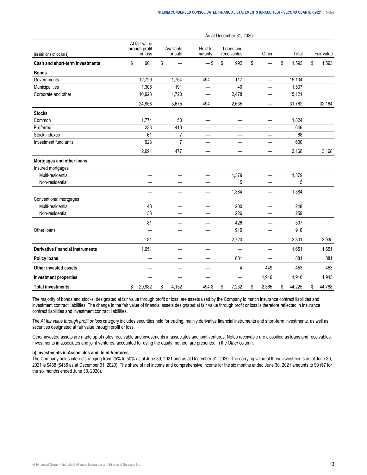|                                         |                                            |                          |                          | As at December 31, 2020  |                          |              |              |
|-----------------------------------------|--------------------------------------------|--------------------------|--------------------------|--------------------------|--------------------------|--------------|--------------|
| (in millions of dollars)                | At fair value<br>through profit<br>or loss | Available<br>for sale    | Held to<br>maturity      | Loans and<br>receivables | Other                    | Total        | Fair value   |
| Cash and short-term investments         | \$<br>601                                  | \$                       | $-$ \$                   | \$<br>992                | \$                       | \$<br>1,593  | \$<br>1,593  |
| <b>Bonds</b>                            |                                            |                          |                          |                          |                          |              |              |
| Governments                             | 12,729                                     | 1,764                    | 494                      | 117                      |                          | 15,104       |              |
| Municipalities                          | 1,306                                      | 191                      |                          | 40                       |                          | 1,537        |              |
| Corporate and other                     | 10,923                                     | 1,720                    |                          | 2,478                    |                          | 15,121       |              |
|                                         | 24,958                                     | 3,675                    | 494                      | 2,635                    |                          | 31,762       | 32,164       |
| <b>Stocks</b>                           |                                            |                          |                          |                          |                          |              |              |
| Common                                  | 1,774                                      | 50                       | $\overline{\phantom{0}}$ | —                        |                          | 1,824        |              |
| Preferred                               | 233                                        | 413                      |                          |                          |                          | 646          |              |
| Stock indexes                           | 61                                         | $\overline{7}$           | —                        | —                        |                          | 68           |              |
| Investment fund units                   | 623                                        | $\overline{7}$           | —                        | —                        |                          | 630          |              |
|                                         | 2,691                                      | 477                      | —                        |                          |                          | 3,168        | 3,168        |
| Mortgages and other loans               |                                            |                          |                          |                          |                          |              |              |
| Insured mortgages                       |                                            |                          |                          |                          |                          |              |              |
| Multi-residential                       | —                                          | —                        | $\overline{\phantom{0}}$ | 1,379                    | $\overline{\phantom{0}}$ | 1,379        |              |
| Non-residential                         |                                            |                          |                          | 5                        |                          | 5            |              |
|                                         |                                            |                          | —                        | 1,384                    | —                        | 1,384        |              |
| Conventional mortgages                  |                                            |                          |                          |                          |                          |              |              |
| Multi-residential                       | 48                                         | $\qquad \qquad$          | —                        | 200                      | —                        | 248          |              |
| Non-residential                         | 33                                         |                          |                          | 226                      |                          | 259          |              |
|                                         | 81                                         |                          | —                        | 426                      | —                        | 507          |              |
| Other loans                             | $\overline{\phantom{0}}$                   |                          | —                        | 910                      |                          | 910          |              |
|                                         | 81                                         | —                        | —                        | 2,720                    |                          | 2,801        | 2,935        |
| <b>Derivative financial instruments</b> | 1,651                                      |                          |                          |                          |                          | 1,651        | 1,651        |
| <b>Policy loans</b>                     | —                                          | $\overline{\phantom{0}}$ | —                        | 881                      | —                        | 881          | 881          |
| Other invested assets                   |                                            | -                        | -                        | 4                        | 449                      | 453          | 453          |
| <b>Investment properties</b>            |                                            |                          |                          |                          | 1,916                    | 1,916        | 1,943        |
| <b>Total investments</b>                | \$<br>29,982                               | \$<br>4,152              | 494 \$                   | \$<br>7,232              | \$<br>2,365              | \$<br>44,225 | \$<br>44,788 |

The majority of bonds and stocks, designated at fair value through profit or loss, are assets used by the Company to match insurance contract liabilities and investment contract liabilities. The change in the fair value of financial assets designated at fair value through profit or loss is therefore reflected in insurance contract liabilities and investment contract liabilities.

The *At fair value through profit or loss* category includes securities held for trading, mainly derivative financial instruments and short-term investments, as well as securities designated at fair value through profit or loss.

Other invested assets are made up of notes receivable and investments in associates and joint ventures. Notes receivable are classified as loans and receivables. Investments in associates and joint ventures, accounted for using the equity method, are presented in the *Other* column.

# **b) Investments in Associates and Joint Ventures**

The Company holds interests ranging from 25% to 50% as at June 30, 2021 and as at December 31, 2020. The carrying value of these investments as at June 30, 2021 is \$438 (\$436 as at December 31, 2020). The share of net income and comprehensive income for the six months ended June 30, 2021 amounts to \$9 (\$7 for the six months ended June 30, 2020).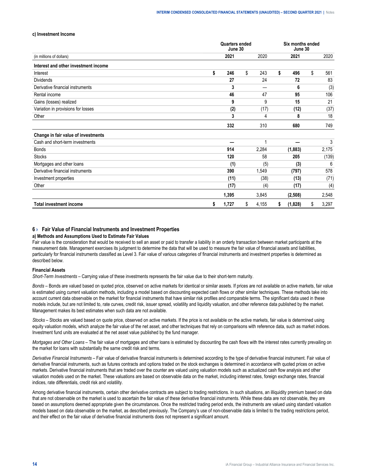#### <span id="page-13-0"></span>**c) Investment Income**

|                                      | <b>Quarters ended</b><br>June 30 |             | Six months ended<br>June 30 |    |       |
|--------------------------------------|----------------------------------|-------------|-----------------------------|----|-------|
| (in millions of dollars)             | 2021                             | 2020        | 2021                        |    | 2020  |
| Interest and other investment income |                                  |             |                             |    |       |
| Interest                             | \$<br>246                        | \$<br>243   | \$<br>496                   | \$ | 561   |
| <b>Dividends</b>                     | 27                               | 24          | 72                          |    | 83    |
| Derivative financial instruments     | 3                                |             | 6                           |    | (3)   |
| Rental income                        | 46                               | 47          | 95                          |    | 106   |
| Gains (losses) realized              | 9                                | 9           | 15                          |    | 21    |
| Variation in provisions for losses   | (2)                              | (17)        | (12)                        |    | (37)  |
| Other                                | 3                                | 4           | 8                           |    | 18    |
|                                      | 332                              | 310         | 680                         |    | 749   |
| Change in fair value of investments  |                                  |             |                             |    |       |
| Cash and short-term investments      |                                  |             |                             |    | 3     |
| <b>Bonds</b>                         | 914                              | 2,284       | (1,883)                     |    | 2,175 |
| <b>Stocks</b>                        | 120                              | 58          | 205                         |    | (139) |
| Mortgages and other loans            | (1)                              | (5)         | (3)                         |    | 6     |
| Derivative financial instruments     | 390                              | 1,549       | (797)                       |    | 578   |
| Investment properties                | (11)                             | (38)        | (13)                        |    | (71)  |
| Other                                | (17)                             | (4)         | (17)                        |    | (4)   |
|                                      | 1,395                            | 3,845       | (2,508)                     |    | 2,548 |
| <b>Total investment income</b>       | \$<br>1,727                      | \$<br>4,155 | \$<br>(1,828)               | \$ | 3,297 |

# **6 › Fair Value of Financial Instruments and Investment Properties**

## **a) Methods and Assumptions Used to Estimate Fair Values**

Fair value is the consideration that would be received to sell an asset or paid to transfer a liability in an orderly transaction between market participants at the measurement date. Management exercises its judgment to determine the data that will be used to measure the fair value of financial assets and liabilities, particularly for financial instruments classified as Level 3. Fair value of various categories of financial instruments and investment properties is determined as described below.

#### **Financial Assets**

*Short-Term Investments –* Carrying value of these investments represents the fair value due to their short-term maturity.

*Bonds* – Bonds are valued based on quoted price, observed on active markets for identical or similar assets. If prices are not available on active markets, fair value is estimated using current valuation methods, including a model based on discounting expected cash flows or other similar techniques. These methods take into account current data observable on the market for financial instruments that have similar risk profiles and comparable terms. The significant data used in these models include, but are not limited to, rate curves, credit risk, issuer spread, volatility and liquidity valuation, and other reference data published by the market. Management makes its best estimates when such data are not available.

*Stocks* – Stocks are valued based on quote price, observed on active markets. If the price is not available on the active markets, fair value is determined using equity valuation models, which analyze the fair value of the net asset, and other techniques that rely on comparisons with reference data, such as market indices. Investment fund units are evaluated at the net asset value published by the fund manager.

*Mortgages and Other Loans* – The fair value of mortgages and other loans is estimated by discounting the cash flows with the interest rates currently prevailing on the market for loans with substantially the same credit risk and terms.

*Derivative Financial Instruments* – Fair value of derivative financial instruments is determined according to the type of derivative financial instrument. Fair value of derivative financial instruments, such as futures contracts and options traded on the stock exchanges is determined in accordance with quoted prices on active markets. Derivative financial instruments that are traded over the counter are valued using valuation models such as actualized cash flow analysis and other valuation models used on the market. These valuations are based on observable data on the market, including interest rates, foreign exchange rates, financial indices, rate differentials, credit risk and volatility.

Among derivative financial instruments, certain other derivative contracts are subject to trading restrictions. In such situations, an illiquidity premium based on data that are not observable on the market is used to ascertain the fair value of these derivative financial instruments. While these data are not observable, they are based on assumptions deemed appropriate given the circumstances. Once the restricted trading period ends, the instruments are valued using standard valuation models based on data observable on the market, as described previously. The Company's use of non-observable data is limited to the trading restrictions period, and their effect on the fair value of derivative financial instruments does not represent a significant amount.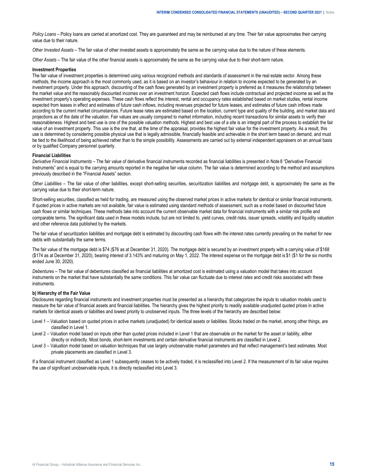*Policy Loans* – Policy loans are carried at amortized cost. They are guaranteed and may be reimbursed at any time. Their fair value approximates their carrying value due to their nature.

*Other Invested Assets –* The fair value of other invested assets is approximately the same as the carrying value due to the nature of these elements.

*Other Assets* – The fair value of the other financial assets is approximately the same as the carrying value due to their short-term nature.

# **Investment Properties**

The fair value of investment properties is determined using various recognized methods and standards of assessment in the real estate sector. Among these methods, the income approach is the most commonly used, as it is based on an investor's behaviour in relation to income expected to be generated by an investment property. Under this approach, discounting of the cash flows generated by an investment property is preferred as it measures the relationship between the market value and the reasonably discounted incomes over an investment horizon. Expected cash flows include contractual and projected income as well as the investment property's operating expenses. These cash flows reflect the interest, rental and occupancy rates established based on market studies, rental income expected from leases in effect and estimates of future cash inflows, including revenues projected for future leases, and estimates of future cash inflows made according to the current market circumstances. Future lease rates are estimated based on the location, current type and quality of the building, and market data and projections as of the date of the valuation. Fair values are usually compared to market information, including recent transactions for similar assets to verify their reasonableness. Highest and best use is one of the possible valuation methods. Highest and best use of a site is an integral part of the process to establish the fair value of an investment property. This use is the one that, at the time of the appraisal, provides the highest fair value for the investment property. As a result, this use is determined by considering possible physical use that is legally admissible, financially feasible and achievable in the short term based on demand, and must be tied to the likelihood of being achieved rather than to the simple possibility. Assessments are carried out by external independent appraisers on an annual basis or by qualified Company personnel quarterly.

## **Financial Liabilities**

*Derivative Financial Instruments –* The fair value of derivative financial instruments recorded as financial liabilities is presented in Note 8 "Derivative Financial Instruments" and is equal to the carrying amounts reported in the negative fair value column. The fair value is determined according to the method and assumptions previously described in the "Financial Assets" section.

*Other Liabilities –* The fair value of other liabilities, except short-selling securities, securitization liabilities and mortgage debt, is approximately the same as the carrying value due to their short-term nature.

Short-selling securities, classified as held for trading, are measured using the observed market prices in active markets for identical or similar financial instruments. If quoted prices in active markets are not available, fair value is estimated using standard methods of assessment, such as a model based on discounted future cash flows or similar techniques. These methods take into account the current observable market data for financial instruments with a similar risk profile and comparable terms. The significant data used in these models include, but are not limited to, yield curves, credit risks, issuer spreads, volatility and liquidity valuation and other reference data published by the markets.

The fair value of securitization liabilities and mortgage debt is estimated by discounting cash flows with the interest rates currently prevailing on the market for new debts with substantially the same terms.

The fair value of the mortgage debt is \$74 (\$76 as at December 31, 2020). The mortgage debt is secured by an investment property with a carrying value of \$168 (\$174 as at December 31, 2020), bearing interest of 3.143% and maturing on May 1, 2022. The interest expense on the mortgage debt is \$1 (\$1 for the six months ended June 30, 2020).

*Debentures –* The fair value of debentures classified as financial liabilities at amortized cost is estimated using a valuation model that takes into account instruments on the market that have substantially the same conditions. This fair value can fluctuate due to interest rates and credit risks associated with these instruments.

### **b) Hierarchy of the Fair Value**

Disclosures regarding financial instruments and investment properties must be presented as a hierarchy that categorizes the inputs to valuation models used to measure the fair value of financial assets and financial liabilities. The hierarchy gives the highest priority to readily available unadjusted quoted prices in active markets for identical assets or liabilities and lowest priority to unobserved inputs. The three levels of the hierarchy are described below:

- Level 1 Valuation based on quoted prices in active markets (unadjusted) for identical assets or liabilities. Stocks traded on the market, among other things, are classified in Level 1.
- Level 2 Valuation model based on inputs other than quoted prices included in Level 1 that are observable on the market for the asset or liability, either directly or indirectly. Most bonds, short-term investments and certain derivative financial instruments are classified in Level 2.
- Level 3 Valuation model based on valuation techniques that use largely unobservable market parameters and that reflect management's best estimates. Most private placements are classified in Level 3.

If a financial instrument classified as Level 1 subsequently ceases to be actively traded, it is reclassified into Level 2. If the measurement of its fair value requires the use of significant unobservable inputs, it is directly reclassified into Level 3.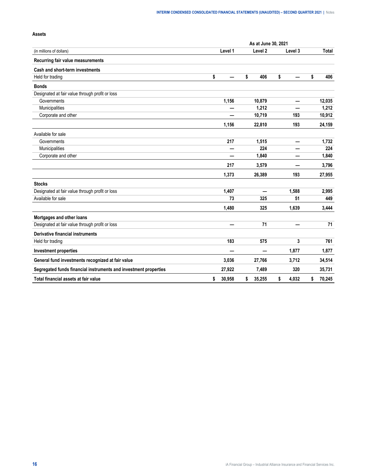|                                                                  | As at June 30, 2021 |         |    |                          |    |                          |    |        |  |  |  |
|------------------------------------------------------------------|---------------------|---------|----|--------------------------|----|--------------------------|----|--------|--|--|--|
| (in millions of dollars)                                         |                     | Level 1 |    | Level <sub>2</sub>       |    | Level 3                  |    | Total  |  |  |  |
| Recurring fair value measurements                                |                     |         |    |                          |    |                          |    |        |  |  |  |
| Cash and short-term investments                                  |                     |         |    |                          |    |                          |    |        |  |  |  |
| Held for trading                                                 | \$                  |         | \$ | 406                      | \$ |                          | \$ | 406    |  |  |  |
| <b>Bonds</b>                                                     |                     |         |    |                          |    |                          |    |        |  |  |  |
| Designated at fair value through profit or loss                  |                     |         |    |                          |    |                          |    |        |  |  |  |
| Governments                                                      |                     | 1,156   |    | 10,879                   |    |                          |    | 12,035 |  |  |  |
| Municipalities                                                   |                     |         |    | 1,212                    |    |                          |    | 1,212  |  |  |  |
| Corporate and other                                              |                     |         |    | 10,719                   |    | 193                      |    | 10,912 |  |  |  |
|                                                                  |                     | 1,156   |    | 22,810                   |    | 193                      |    | 24,159 |  |  |  |
| Available for sale                                               |                     |         |    |                          |    |                          |    |        |  |  |  |
| Governments                                                      |                     | 217     |    | 1,515                    |    | $\overline{\phantom{0}}$ |    | 1,732  |  |  |  |
| Municipalities                                                   |                     |         |    | 224                      |    |                          |    | 224    |  |  |  |
| Corporate and other                                              |                     |         |    | 1,840                    |    |                          |    | 1,840  |  |  |  |
|                                                                  |                     | 217     |    | 3,579                    |    |                          |    | 3,796  |  |  |  |
|                                                                  |                     | 1,373   |    | 26,389                   |    | 193                      |    | 27,955 |  |  |  |
| <b>Stocks</b>                                                    |                     |         |    |                          |    |                          |    |        |  |  |  |
| Designated at fair value through profit or loss                  |                     | 1,407   |    | $\overline{\phantom{0}}$ |    | 1,588                    |    | 2,995  |  |  |  |
| Available for sale                                               |                     | 73      |    | 325                      |    | 51                       |    | 449    |  |  |  |
|                                                                  |                     | 1,480   |    | 325                      |    | 1,639                    |    | 3,444  |  |  |  |
| Mortgages and other loans                                        |                     |         |    |                          |    |                          |    |        |  |  |  |
| Designated at fair value through profit or loss                  |                     |         |    | 71                       |    |                          |    | 71     |  |  |  |
| Derivative financial instruments                                 |                     |         |    |                          |    |                          |    |        |  |  |  |
| Held for trading                                                 |                     | 183     |    | 575                      |    | 3                        |    | 761    |  |  |  |
| <b>Investment properties</b>                                     |                     |         |    |                          |    | 1,877                    |    | 1,877  |  |  |  |
| General fund investments recognized at fair value                |                     | 3,036   |    | 27,766                   |    | 3,712                    |    | 34,514 |  |  |  |
| Segregated funds financial instruments and investment properties |                     | 27,922  |    | 7,489                    |    | 320                      |    | 35,731 |  |  |  |
| Total financial assets at fair value                             | \$                  | 30,958  | \$ | 35,255                   | \$ | 4,032                    | \$ | 70,245 |  |  |  |

# **Assets**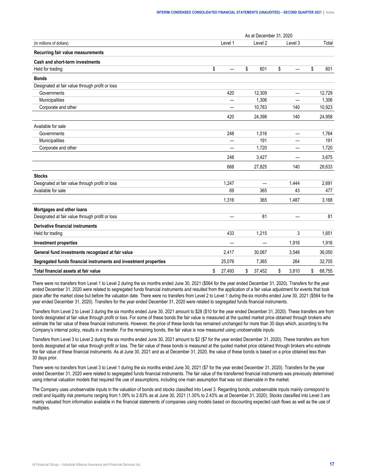|                                                                  | As at December 31, 2020 |         |              |    |         |    |        |  |  |  |
|------------------------------------------------------------------|-------------------------|---------|--------------|----|---------|----|--------|--|--|--|
| (in millions of dollars)                                         |                         | Level 1 | Level 2      |    | Level 3 |    | Total  |  |  |  |
| Recurring fair value measurements                                |                         |         |              |    |         |    |        |  |  |  |
| Cash and short-term investments                                  |                         |         |              |    |         |    |        |  |  |  |
| Held for trading                                                 | \$                      |         | \$<br>601    | \$ |         | \$ | 601    |  |  |  |
| <b>Bonds</b>                                                     |                         |         |              |    |         |    |        |  |  |  |
| Designated at fair value through profit or loss                  |                         |         |              |    |         |    |        |  |  |  |
| Governments                                                      |                         | 420     | 12,309       |    |         |    | 12,729 |  |  |  |
| Municipalities                                                   |                         |         | 1,306        |    |         |    | 1,306  |  |  |  |
| Corporate and other                                              |                         |         | 10,783       |    | 140     |    | 10,923 |  |  |  |
|                                                                  |                         | 420     | 24,398       |    | 140     |    | 24,958 |  |  |  |
| Available for sale                                               |                         |         |              |    |         |    |        |  |  |  |
| Governments                                                      |                         | 248     | 1,516        |    |         |    | 1,764  |  |  |  |
| Municipalities                                                   |                         |         | 191          |    |         |    | 191    |  |  |  |
| Corporate and other                                              |                         |         | 1,720        |    |         |    | 1,720  |  |  |  |
|                                                                  |                         | 248     | 3,427        |    |         |    | 3,675  |  |  |  |
|                                                                  |                         | 668     | 27,825       |    | 140     |    | 28.633 |  |  |  |
| <b>Stocks</b>                                                    |                         |         |              |    |         |    |        |  |  |  |
| Designated at fair value through profit or loss                  |                         | 1,247   |              |    | 1,444   |    | 2,691  |  |  |  |
| Available for sale                                               |                         | 69      | 365          |    | 43      |    | 477    |  |  |  |
|                                                                  |                         | 1,316   | 365          |    | 1,487   |    | 3,168  |  |  |  |
| Mortgages and other loans                                        |                         |         |              |    |         |    |        |  |  |  |
| Designated at fair value through profit or loss                  |                         |         | 81           |    |         |    | 81     |  |  |  |
| Derivative financial instruments                                 |                         |         |              |    |         |    |        |  |  |  |
| Held for trading                                                 |                         | 433     | 1,215        |    | 3       |    | 1,651  |  |  |  |
| <b>Investment properties</b>                                     |                         |         |              |    | 1,916   |    | 1,916  |  |  |  |
| General fund investments recognized at fair value                |                         | 2,417   | 30,087       |    | 3,546   |    | 36,050 |  |  |  |
| Segregated funds financial instruments and investment properties |                         | 25,076  | 7,365        |    | 264     |    | 32,705 |  |  |  |
| Total financial assets at fair value                             | \$                      | 27,493  | \$<br>37,452 | \$ | 3.810   | \$ | 68,755 |  |  |  |

There were no transfers from Level 1 to Level 2 during the six months ended June 30, 2021 (\$564 for the year ended December 31, 2020). Transfers for the year ended December 31, 2020 were related to segregated funds financial instruments and resulted from the application of a fair value adjustment for events that took place after the market close but before the valuation date. There were no transfers from Level 2 to Level 1 during the six months ended June 30, 2021 (\$564 for the year ended December 31, 2020). Transfers for the year ended December 31, 2020 were related to segregated funds financial instruments.

Transfers from Level 2 to Level 3 during the six months ended June 30, 2021 amount to \$28 (\$10 for the year ended December 31, 2020). These transfers are from bonds designated at fair value through profit or loss. For some of these bonds the fair value is measured at the quoted market price obtained through brokers who estimate the fair value of these financial instruments. However, the price of these bonds has remained unchanged for more than 30 days which, according to the Company's internal policy, results in a transfer. For the remaining bonds, the fair value is now measured using unobservable inputs.

Transfers from Level 3 to Level 2 during the six months ended June 30, 2021 amount to \$2 (\$7 for the year ended December 31, 2020). These transfers are from bonds designated at fair value through profit or loss. The fair value of these bonds is measured at the quoted market price obtained through brokers who estimate the fair value of these financial instruments. As at June 30, 2021 and as at December 31, 2020, the value of these bonds is based on a price obtained less than 30 days prior.

There were no transfers from Level 3 to Level 1 during the six months ended June 30, 2021 (\$7 for the year ended December 31, 2020). Transfers for the year ended December 31, 2020 were related to segregated funds financial instruments. The fair value of the transferred financial instruments was previously determined using internal valuation models that required the use of assumptions, including one main assumption that was not observable in the market.

The Company uses unobservable inputs in the valuation of bonds and stocks classified into Level 3. Regarding bonds, unobservable inputs mainly correspond to credit and liquidity risk premiums ranging from 1.09% to 2.63% as at June 30, 2021 (1.30% to 2.43% as at December 31, 2020). Stocks classified into Level 3 are mainly valuated from information available in the financial statements of companies using models based on discounting expected cash flows as well as the use of multiples.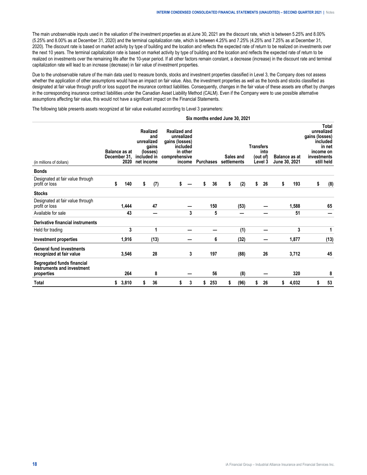The main unobservable inputs used in the valuation of the investment properties as at June 30, 2021 are the discount rate, which is between 5.25% and 8.00% (5.25% and 8.00% as at December 31, 2020) and the terminal capitalization rate, which is between 4.25% and 7.25% (4.25% and 7.25% as at December 31, 2020). The discount rate is based on market activity by type of building and the location and reflects the expected rate of return to be realized on investments over the next 10 years. The terminal capitalization rate is based on market activity by type of building and the location and reflects the expected rate of return to be realized on investments over the remaining life after the 10-year period. If all other factors remain constant, a decrease (increase) in the discount rate and terminal capitalization rate will lead to an increase (decrease) in fair value of investment properties.

Due to the unobservable nature of the main data used to measure bonds, stocks and investment properties classified in Level 3, the Company does not assess whether the application of other assumptions would have an impact on fair value. Also, the investment properties as well as the bonds and stocks classified as designated at fair value through profit or loss support the insurance contract liabilities. Consequently, changes in the fair value of these assets are offset by changes in the corresponding insurance contract liabilities under the Canadian Asset Liability Method (CALM). Even if the Company were to use possible alternative assumptions affecting fair value, this would not have a significant impact on the Financial Statements.

The following table presents assets recognized at fair value evaluated according to Level 3 parameters:

| Six months ended June 30, 2021 |  |  |
|--------------------------------|--|--|
|--------------------------------|--|--|

| (in millions of dollars)                                               | <b>Balance as at</b><br>December 31.<br>2020 |       | unrealized<br>included in<br>net income | Realized<br>and<br>gains<br>(losses) |    | <b>Purchases</b> |    |     | <b>Realized and</b><br>unrealized<br>gains (losses)<br>included<br>in other<br>comprehensive<br>income |      | <b>Transfers</b><br>Sales and<br>settlements |    |    | into<br>(out of)<br>Level 3 |    | <b>Balance as at</b><br>June 30, 2021 | gains (losses)<br>investments | Total<br>unrealized<br>included<br>in net<br>income on<br>still held |
|------------------------------------------------------------------------|----------------------------------------------|-------|-----------------------------------------|--------------------------------------|----|------------------|----|-----|--------------------------------------------------------------------------------------------------------|------|----------------------------------------------|----|----|-----------------------------|----|---------------------------------------|-------------------------------|----------------------------------------------------------------------|
| <b>Bonds</b>                                                           |                                              |       |                                         |                                      |    |                  |    |     |                                                                                                        |      |                                              |    |    |                             |    |                                       |                               |                                                                      |
| Designated at fair value through<br>profit or loss                     | \$                                           | 140   | \$                                      | (7)                                  | \$ |                  | \$ | 36  | \$                                                                                                     | (2)  | \$                                           | 26 | \$ | 193                         | \$ | (8)                                   |                               |                                                                      |
| <b>Stocks</b>                                                          |                                              |       |                                         |                                      |    |                  |    |     |                                                                                                        |      |                                              |    |    |                             |    |                                       |                               |                                                                      |
| Designated at fair value through<br>profit or loss                     |                                              | 1,444 |                                         | 47                                   |    |                  |    | 150 |                                                                                                        | (53) |                                              |    |    | 1,588                       |    | 65                                    |                               |                                                                      |
| Available for sale                                                     |                                              | 43    |                                         |                                      |    | 3                |    | 5   |                                                                                                        |      |                                              |    |    | 51                          |    |                                       |                               |                                                                      |
| Derivative financial instruments                                       |                                              |       |                                         |                                      |    |                  |    |     |                                                                                                        |      |                                              |    |    |                             |    |                                       |                               |                                                                      |
| Held for trading                                                       |                                              | 3     |                                         | 1                                    |    |                  |    |     |                                                                                                        | (1)  |                                              |    |    | 3                           |    | 1                                     |                               |                                                                      |
| Investment properties                                                  |                                              | 1,916 |                                         | (13)                                 |    |                  |    | 6   |                                                                                                        | (32) |                                              |    |    | 1,877                       |    | (13)                                  |                               |                                                                      |
| <b>General fund investments</b><br>recognized at fair value            |                                              | 3,546 |                                         | 28                                   |    | 3                |    | 197 |                                                                                                        | (88) |                                              | 26 |    | 3,712                       |    | 45                                    |                               |                                                                      |
| Segregated funds financial<br>instruments and investment<br>properties |                                              | 264   |                                         | 8                                    |    |                  |    | 56  |                                                                                                        | (8)  |                                              |    |    | 320                         |    | 8                                     |                               |                                                                      |
| Total                                                                  | \$                                           | 3,810 |                                         | 36                                   | S  | 3                | \$ | 253 |                                                                                                        | (96) | S                                            | 26 | s  | 4,032                       | S  | 53                                    |                               |                                                                      |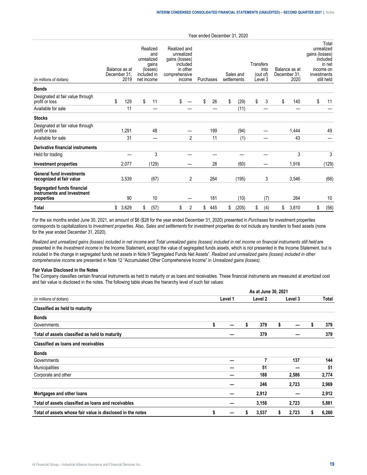| (in millions of dollars)                                               | Balance as at<br>December 31. | 2019  | Realized<br>and<br>unrealized<br>gains<br>(losses)<br>included in<br>net income |       | Realized and<br>unrealized<br>gains (losses)<br>included<br>in other<br>comprehensive<br>income |    | Sales and<br>settlements<br>Purchases |    |       | Transfers | into<br>(out of)<br>Level 3 | Balance as at<br>December 31.<br>2020 | gains (losses)<br>investments | Total<br>unrealized<br>included<br>in net<br>income on<br>still held |
|------------------------------------------------------------------------|-------------------------------|-------|---------------------------------------------------------------------------------|-------|-------------------------------------------------------------------------------------------------|----|---------------------------------------|----|-------|-----------|-----------------------------|---------------------------------------|-------------------------------|----------------------------------------------------------------------|
| <b>Bonds</b>                                                           |                               |       |                                                                                 |       |                                                                                                 |    |                                       |    |       |           |                             |                                       |                               |                                                                      |
| Designated at fair value through<br>profit or loss                     | \$                            | 129   | \$                                                                              | 11    | \$                                                                                              | \$ | 26                                    | \$ | (29)  | \$        | 3                           | \$<br>140                             | \$                            | 11                                                                   |
| Available for sale                                                     |                               | 11    |                                                                                 |       |                                                                                                 |    |                                       |    | (11)  |           |                             |                                       |                               |                                                                      |
| <b>Stocks</b>                                                          |                               |       |                                                                                 |       |                                                                                                 |    |                                       |    |       |           |                             |                                       |                               |                                                                      |
| Designated at fair value through<br>profit or loss                     |                               | 1,291 |                                                                                 | 48    |                                                                                                 |    | 199                                   |    | (94)  |           |                             | 1,444                                 |                               | 49                                                                   |
| Available for sale                                                     |                               | 31    |                                                                                 | —     | $\overline{2}$                                                                                  |    | 11                                    |    | (1)   |           |                             | 43                                    |                               |                                                                      |
| Derivative financial instruments                                       |                               |       |                                                                                 |       |                                                                                                 |    |                                       |    |       |           |                             |                                       |                               |                                                                      |
| Held for trading                                                       |                               |       |                                                                                 | 3     |                                                                                                 |    |                                       |    |       |           |                             | 3                                     |                               | 3                                                                    |
| Investment properties                                                  |                               | 2,077 |                                                                                 | (129) |                                                                                                 |    | 28                                    |    | (60)  |           |                             | 1,916                                 |                               | (129)                                                                |
| <b>General fund investments</b><br>recognized at fair value            |                               | 3,539 |                                                                                 | (67)  | 2                                                                                               |    | 264                                   |    | (195) |           | 3                           | 3,546                                 |                               | (66)                                                                 |
| Segregated funds financial<br>instruments and investment<br>properties |                               | 90    |                                                                                 | 10    |                                                                                                 |    | 181                                   |    | (10)  |           | (7)                         | 264                                   |                               | 10                                                                   |
| <b>Total</b>                                                           | \$                            | 3,629 | \$                                                                              | (57)  | \$<br>2                                                                                         | \$ | 445                                   | \$ | (205) | \$        | (4)                         | \$<br>3,810                           | \$                            | (56)                                                                 |

For the six months ended June 30, 2021, an amount of \$6 (\$28 for the year ended December 31, 2020) presented in *Purchases* for investment properties corresponds to capitalizations to *Investment properties*. Also, *Sales and settlements* for investment properties do not include any transfers to fixed assets (none for the year ended December 31, 2020).

*Realized and unrealized gains (losses) included in net income* and *Total unrealized gains (losses) included in net income on financial instruments still held* are presented in the *Investment income* in the Income Statement, except the value of segregated funds assets, which is not presented in the Income Statement, but is included in the change in segregated funds net assets in Note 9 "Segregated Funds Net Assets". *Realized and unrealized gains (losses) included in other comprehensive income* are presented in Note 12 "Accumulated Other Comprehensive Income" in *Unrealized gains (losses).*

## **Fair Value Disclosed in the Notes**

The Company classifies certain financial instruments as held to maturity or as loans and receivables. These financial instruments are measured at amortized cost and fair value is disclosed in the notes. The following table shows the hierarchy level of such fair values:

|                                                            |         | As at June 30, 2021 |         |    |         |   |       |
|------------------------------------------------------------|---------|---------------------|---------|----|---------|---|-------|
| (in millions of dollars)                                   | Level 1 |                     | Level 2 |    | Level 3 |   | Total |
| Classified as held to maturity                             |         |                     |         |    |         |   |       |
| <b>Bonds</b>                                               |         |                     |         |    |         |   |       |
| Governments                                                | \$      | S                   | 379     | \$ |         |   | 379   |
| Total of assets classified as held to maturity             |         |                     | 379     |    |         |   | 379   |
| Classified as loans and receivables                        |         |                     |         |    |         |   |       |
| <b>Bonds</b>                                               |         |                     |         |    |         |   |       |
| Governments                                                |         |                     | 7       |    | 137     |   | 144   |
| Municipalities                                             |         |                     | 51      |    |         |   | 51    |
| Corporate and other                                        |         |                     | 188     |    | 2,586   |   | 2,774 |
|                                                            |         |                     | 246     |    | 2,723   |   | 2,969 |
| Mortgages and other loans                                  |         |                     | 2,912   |    |         |   | 2,912 |
| Total of assets classified as loans and receivables        |         |                     | 3,158   |    | 2,723   |   | 5,881 |
| Total of assets whose fair value is disclosed in the notes | \$      | S                   | 3,537   | s  | 2,723   | S | 6,260 |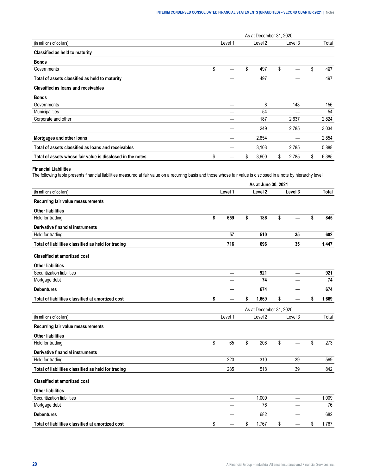|                                                            |    |         | As at December 31, 2020 |    |         |             |
|------------------------------------------------------------|----|---------|-------------------------|----|---------|-------------|
| (in millions of dollars)                                   |    | Level 1 | Level 2                 |    | Level 3 | Total       |
| Classified as held to maturity                             |    |         |                         |    |         |             |
| <b>Bonds</b>                                               |    |         |                         |    |         |             |
| Governments                                                | \$ |         | \$<br>497               | \$ |         | \$<br>497   |
| Total of assets classified as held to maturity             |    |         | 497                     |    |         | 497         |
| Classified as loans and receivables                        |    |         |                         |    |         |             |
| <b>Bonds</b>                                               |    |         |                         |    |         |             |
| Governments                                                |    |         | 8                       |    | 148     | 156         |
| Municipalities                                             |    |         | 54                      |    |         | 54          |
| Corporate and other                                        |    |         | 187                     |    | 2,637   | 2,824       |
|                                                            |    |         | 249                     |    | 2,785   | 3,034       |
| Mortgages and other loans                                  |    |         | 2,854                   |    |         | 2,854       |
| Total of assets classified as loans and receivables        |    |         | 3,103                   |    | 2,785   | 5,888       |
| Total of assets whose fair value is disclosed in the notes | \$ |         | \$<br>3,600             | S  | 2,785   | \$<br>6,385 |

# **Financial Liabilities**

The following table presents financial liabilities measured at fair value on a recurring basis and those whose fair value is disclosed in a note by hierarchy level:

|                                                     | As at June 30, 2021 |         |    |                         |    |                          |    |       |  |  |  |
|-----------------------------------------------------|---------------------|---------|----|-------------------------|----|--------------------------|----|-------|--|--|--|
| (in millions of dollars)                            |                     | Level 1 |    | Level <sub>2</sub>      |    | Level 3                  |    | Total |  |  |  |
| Recurring fair value measurements                   |                     |         |    |                         |    |                          |    |       |  |  |  |
| <b>Other liabilities</b>                            |                     |         |    |                         |    |                          |    |       |  |  |  |
| Held for trading                                    | \$                  | 659     | \$ | 186                     | \$ |                          | \$ | 845   |  |  |  |
| Derivative financial instruments                    |                     |         |    |                         |    |                          |    |       |  |  |  |
| Held for trading                                    |                     | 57      |    | 510                     |    | 35                       |    | 602   |  |  |  |
| Total of liabilities classified as held for trading |                     | 716     |    | 696                     |    | 35                       |    | 1,447 |  |  |  |
| <b>Classified at amortized cost</b>                 |                     |         |    |                         |    |                          |    |       |  |  |  |
| <b>Other liabilities</b>                            |                     |         |    |                         |    |                          |    |       |  |  |  |
| Securitization liabilities                          |                     | —       |    | 921                     |    | $\overline{\phantom{0}}$ |    | 921   |  |  |  |
| Mortgage debt                                       |                     |         |    | 74                      |    |                          |    | 74    |  |  |  |
| <b>Debentures</b>                                   |                     |         |    | 674                     |    |                          |    | 674   |  |  |  |
| Total of liabilities classified at amortized cost   | \$                  |         | \$ | 1,669                   | \$ |                          | \$ | 1,669 |  |  |  |
|                                                     |                     |         |    | As at December 31, 2020 |    |                          |    |       |  |  |  |
| (in millions of dollars)                            |                     | Level 1 |    | Level <sub>2</sub>      |    | Level 3                  |    | Total |  |  |  |
| Recurring fair value measurements                   |                     |         |    |                         |    |                          |    |       |  |  |  |
| <b>Other liabilities</b>                            |                     |         |    |                         |    |                          |    |       |  |  |  |
| Held for trading                                    | \$                  | 65      | \$ | 208                     | \$ | —                        | \$ | 273   |  |  |  |
| Derivative financial instruments                    |                     |         |    |                         |    |                          |    |       |  |  |  |
| Held for trading                                    |                     | 220     |    | 310                     |    | 39                       |    | 569   |  |  |  |
| Total of liabilities classified as held for trading |                     | 285     |    | 518                     |    | 39                       |    | 842   |  |  |  |
| <b>Classified at amortized cost</b>                 |                     |         |    |                         |    |                          |    |       |  |  |  |
| <b>Other liabilities</b>                            |                     |         |    |                         |    |                          |    |       |  |  |  |
| Securitization liabilities                          |                     | —       |    | 1,009                   |    | —                        |    | 1,009 |  |  |  |
| Mortgage debt                                       |                     |         |    | 76                      |    |                          |    | 76    |  |  |  |
| <b>Debentures</b>                                   |                     |         |    | 682                     |    |                          |    | 682   |  |  |  |
| Total of liabilities classified at amortized cost   | \$                  |         | \$ | 1,767                   | \$ |                          | \$ | 1,767 |  |  |  |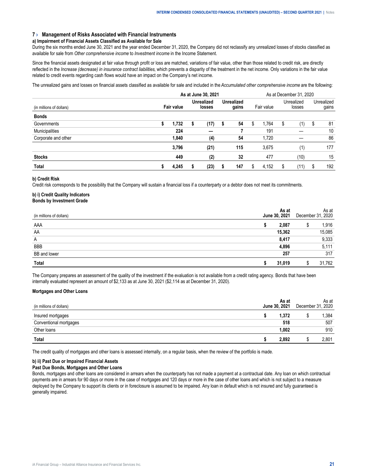## <span id="page-20-0"></span>**7 › Management of Risks Associated with Financial Instruments**

#### **a) Impairment of Financial Assets Classified as Available for Sale**

During the six months ended June 30, 2021 and the year ended December 31, 2020, the Company did not reclassify any unrealized losses of stocks classified as available for sale from *Other comprehensive income* to *Investment income* in the Income Statement.

Since the financial assets designated at fair value through profit or loss are matched, variations of fair value, other than those related to credit risk, are directly reflected in the *Increase (decrease) in insurance contract liabilities*, which prevents a disparity of the treatment in the net income. Only variations in the fair value related to credit events regarding cash flows would have an impact on the Company's net income.

The unrealized gains and losses on financial assets classified as available for sale and included in the *Accumulated other comprehensive income* are the following:

|                          |            |       | As at December 31, 2020 |                                                           |  |     |   |            |                      |      |   |                     |
|--------------------------|------------|-------|-------------------------|-----------------------------------------------------------|--|-----|---|------------|----------------------|------|---|---------------------|
| (in millions of dollars) | Fair value |       |                         | <b>Unrealized</b><br><b>Unrealized</b><br>gains<br>losses |  |     |   | Fair value | Unrealized<br>losses |      |   | Unrealized<br>gains |
| <b>Bonds</b>             |            |       |                         |                                                           |  |     |   |            |                      |      |   |                     |
| Governments              | S          | 1.732 | S                       | (17)                                                      |  | 54  | S | 1.764      | S                    | (1)  | S | 81                  |
| Municipalities           |            | 224   |                         |                                                           |  |     |   | 191        |                      |      |   | 10                  |
| Corporate and other      |            | 1.840 |                         | (4)                                                       |  | 54  |   | 1,720      |                      |      |   | 86                  |
|                          |            | 3.796 |                         | (21)                                                      |  | 115 |   | 3.675      |                      | (1)  |   | 177                 |
| <b>Stocks</b>            |            | 449   |                         | (2)                                                       |  | 32  |   | 477        |                      | (10) |   | 15                  |
| Total                    |            | 4.245 |                         | (23)                                                      |  | 147 | S | 4,152      | S                    | [11] |   | 192                 |

#### **b) Credit Risk**

Credit risk corresponds to the possibility that the Company will sustain a financial loss if a counterparty or a debtor does not meet its commitments.

## **b) i) Credit Quality Indicators Bonds by Investment Grade**

|              | June 30, 2021 | As at<br>2020<br>December 3 |  |      |  |
|--------------|---------------|-----------------------------|--|------|--|
| AAA          |               | 2.087                       |  | .916 |  |
| AA           |               | 15.362                      |  | .085 |  |
| A            |               | 8.417                       |  | .333 |  |
| <b>BBB</b>   |               |                             |  | -111 |  |
| BB and lower |               | 25.                         |  | 317  |  |
| Tota         |               |                             |  | .762 |  |

The Company prepares an assessment of the quality of the investment if the evaluation is not available from a credit rating agency. Bonds that have been internally evaluated represent an amount of \$2,133 as at June 30, 2021 (\$2,114 as at December 31, 2020).

# **Mortgages and Other Loans**

| (in millions of dollars) | As at<br>June 30, 2021 | December 31, | As at<br>2020 |
|--------------------------|------------------------|--------------|---------------|
| Insured mortgages        | .372                   |              | .384          |
| Conventional mortgages   | 518                    |              | 507           |
| Other loans              | .002                   |              | 910           |
| Total                    | 2.892                  |              | 2.801         |

The credit quality of mortgages and other loans is assessed internally, on a regular basis, when the review of the portfolio is made.

## **b) ii) Past Due or Impaired Financial Assets**

### **Past Due Bonds, Mortgages and Other Loans**

Bonds, mortgages and other loans are considered in arrears when the counterparty has not made a payment at a contractual date. Any loan on which contractual payments are in arrears for 90 days or more in the case of mortgages and 120 days or more in the case of other loans and which is not subject to a measure deployed by the Company to support its clients or in foreclosure is assumed to be impaired. Any loan in default which is not insured and fully guaranteed is generally impaired.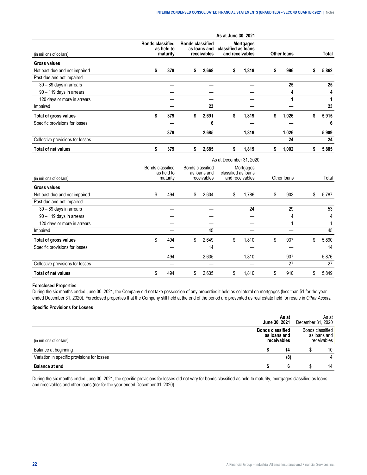|                                  |                                                   |    |                                                        | As at June 30, 2021                    |                  |   |                    |   |       |
|----------------------------------|---------------------------------------------------|----|--------------------------------------------------------|----------------------------------------|------------------|---|--------------------|---|-------|
| (in millions of dollars)         | <b>Bonds classified</b><br>as held to<br>maturity |    | <b>Bonds classified</b><br>as loans and<br>receivables | classified as loans<br>and receivables | <b>Mortgages</b> |   | <b>Other loans</b> |   | Total |
| <b>Gross values</b>              |                                                   |    |                                                        |                                        |                  |   |                    |   |       |
| Not past due and not impaired    | \$<br>379                                         | s  | 2,668                                                  | \$                                     | 1,819            | s | 996                |   | 5,862 |
| Past due and not impaired        |                                                   |    |                                                        |                                        |                  |   |                    |   |       |
| 30 - 89 days in arrears          |                                                   |    |                                                        |                                        |                  |   | 25                 |   | 25    |
| 90 - 119 days in arrears         |                                                   |    |                                                        |                                        |                  |   | 4                  |   | 4     |
| 120 days or more in arrears      |                                                   |    |                                                        |                                        |                  |   |                    |   |       |
| Impaired                         |                                                   |    | 23                                                     |                                        |                  |   |                    |   | 23    |
| Total of gross values            | \$<br>379                                         | \$ | 2,691                                                  | \$                                     | 1,819            | 5 | 1,026              | ж | 5,915 |
| Specific provisions for losses   |                                                   |    | 6                                                      |                                        |                  |   |                    |   | 6     |
|                                  | 379                                               |    | 2,685                                                  |                                        | 1,819            |   | 1,026              |   | 5,909 |
| Collective provisions for losses |                                                   |    |                                                        |                                        |                  |   | 24                 |   | 24    |
| <b>Total of net values</b>       | \$<br>379                                         | S  | 2,685                                                  | 5                                      | 1,819            |   | 1,002              |   | 5,885 |

|                                  | As at December 31, 2020                    |     |                  |                             |                     |                              |    |             |    |       |  |  |  |  |
|----------------------------------|--------------------------------------------|-----|------------------|-----------------------------|---------------------|------------------------------|----|-------------|----|-------|--|--|--|--|
| (in millions of dollars)         | Bonds classified<br>as held to<br>maturity |     | Bonds classified | as loans and<br>receivables | classified as loans | Mortgages<br>and receivables |    | Other loans |    | Total |  |  |  |  |
| <b>Gross values</b>              |                                            |     |                  |                             |                     |                              |    |             |    |       |  |  |  |  |
| Not past due and not impaired    | \$                                         | 494 | S.               | 2,604                       | \$                  | 1,786                        | S  | 903         | S  | 5,787 |  |  |  |  |
| Past due and not impaired        |                                            |     |                  |                             |                     |                              |    |             |    |       |  |  |  |  |
| 30 - 89 days in arrears          |                                            |     |                  |                             |                     | 24                           |    | 29          |    | 53    |  |  |  |  |
| 90 - 119 days in arrears         |                                            |     |                  |                             |                     |                              |    | 4           |    | 4     |  |  |  |  |
| 120 days or more in arrears      |                                            |     |                  |                             |                     |                              |    |             |    |       |  |  |  |  |
| Impaired                         |                                            |     |                  | 45                          |                     |                              |    |             |    | 45    |  |  |  |  |
| Total of gross values            | \$                                         | 494 | \$               | 2,649                       | \$                  | 1.810                        | \$ | 937         | \$ | 5,890 |  |  |  |  |
| Specific provisions for losses   |                                            |     |                  | 14                          |                     |                              |    |             |    | 14    |  |  |  |  |
|                                  |                                            | 494 |                  | 2,635                       |                     | 1.810                        |    | 937         |    | 5,876 |  |  |  |  |
| Collective provisions for losses |                                            |     |                  |                             |                     |                              |    | 27          |    | 27    |  |  |  |  |
| Total of net values              | \$                                         | 494 | \$               | 2,635                       | \$                  | 1,810                        | Æ  | 910         | S  | 5,849 |  |  |  |  |

# **Foreclosed Properties**

During the six months ended June 30, 2021, the Company did not take possession of any properties it held as collateral on mortgages (less than \$1 for the year ended December 31, 2020). Foreclosed properties that the Company still held at the end of the period are presented as real estate held for resale in *Other Assets.*

# **Specific Provisions for Losses**

| <b>Balance at end</b>                       |                            |                            | 14                                             |  |  |
|---------------------------------------------|----------------------------|----------------------------|------------------------------------------------|--|--|
| Variation in specific provisions for losses | 18                         |                            |                                                |  |  |
| Balance at beginning                        | 14                         |                            | 10                                             |  |  |
|                                             | classified<br>as Ioans and |                            | Bonds classified<br>as loans and<br>eceivables |  |  |
|                                             | As at<br>June 30, 2021     | As at<br>December 31, 2020 |                                                |  |  |

During the six months ended June 30, 2021, the specific provisions for losses did not vary for bonds classified as held to maturity, mortgages classified as loans and receivables and other loans (nor for the year ended December 31, 2020).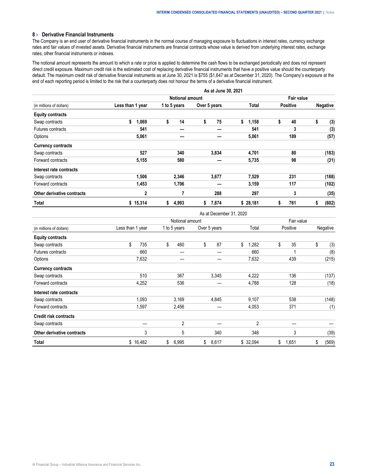# <span id="page-22-0"></span>**8 › Derivative Financial Instruments**

The Company is an end user of derivative financial instruments in the normal course of managing exposure to fluctuations in interest rates, currency exchange rates and fair values of invested assets. Derivative financial instruments are financial contracts whose value is derived from underlying interest rates, exchange rates, other financial instruments or indexes.

The notional amount represents the amount to which a rate or price is applied to determine the cash flows to be exchanged periodically and does not represent direct credit exposure. Maximum credit risk is the estimated cost of replacing derivative financial instruments that have a positive value should the counterparty default. The maximum credit risk of derivative financial instruments as at June 30, 2021 is \$755 (\$1,647 as at December 31, 2020). The Company's exposure at the end of each reporting period is limited to the risk that a counterparty does not honour the terms of a derivative financial instrument.

|                            |                  |                        | As at June 30, 2021 |             |                 |                 |  |  |  |  |  |  |  |
|----------------------------|------------------|------------------------|---------------------|-------------|-----------------|-----------------|--|--|--|--|--|--|--|
|                            |                  | <b>Notional amount</b> |                     |             |                 |                 |  |  |  |  |  |  |  |
| (in millions of dollars)   | Less than 1 year | 1 to 5 years           | Over 5 years        | Total       | <b>Positive</b> | <b>Negative</b> |  |  |  |  |  |  |  |
| <b>Equity contracts</b>    |                  |                        |                     |             |                 |                 |  |  |  |  |  |  |  |
| Swap contracts             | \$<br>1,069      | 14<br>\$               | \$<br>75            | \$<br>1,158 | \$<br>40        | \$<br>(3)       |  |  |  |  |  |  |  |
| Futures contracts          | 541              |                        |                     | 541         | 3               | (3)             |  |  |  |  |  |  |  |
| Options                    | 5,061            |                        |                     | 5,061       | 189             | (57)            |  |  |  |  |  |  |  |
| <b>Currency contracts</b>  |                  |                        |                     |             |                 |                 |  |  |  |  |  |  |  |
| Swap contracts             | 527              | 340                    | 3,834               | 4,701       | 80              | (183)           |  |  |  |  |  |  |  |
| Forward contracts          | 5,155            | 580                    |                     | 5,735       | 98              | (31)            |  |  |  |  |  |  |  |
| Interest rate contracts    |                  |                        |                     |             |                 |                 |  |  |  |  |  |  |  |
| Swap contracts             | 1,506            | 2,346                  | 3,677               | 7,529       | 231             | (188)           |  |  |  |  |  |  |  |
| Forward contracts          | 1,453            | 1,706                  |                     | 3,159       | 117             | (102)           |  |  |  |  |  |  |  |
| Other derivative contracts | $\mathbf 2$      | 7                      | 288                 | 297         | 3               | (35)            |  |  |  |  |  |  |  |
| Total                      | \$15,314         | 4,993<br>s             | 7,874<br>\$         | \$28,181    | 761<br>\$       | (602)<br>\$     |  |  |  |  |  |  |  |

As at December 31, 2020

|                              |                  | Notional amount |              |             |             |             |  |  |  |  |  |  |
|------------------------------|------------------|-----------------|--------------|-------------|-------------|-------------|--|--|--|--|--|--|
| (in millions of dollars)     | Less than 1 year | 1 to 5 years    | Over 5 years | Total       | Positive    | Negative    |  |  |  |  |  |  |
| <b>Equity contracts</b>      |                  |                 |              |             |             |             |  |  |  |  |  |  |
| Swap contracts               | \$<br>735        | \$<br>460       | \$<br>87     | \$<br>1,282 | \$<br>35    | \$<br>(3)   |  |  |  |  |  |  |
| Futures contracts            | 660              |                 |              | 660         |             | (8)         |  |  |  |  |  |  |
| Options                      | 7,632            |                 |              | 7,632       | 439         | (215)       |  |  |  |  |  |  |
| <b>Currency contracts</b>    |                  |                 |              |             |             |             |  |  |  |  |  |  |
| Swap contracts               | 510              | 367             | 3,345        | 4,222       | 136         | (137)       |  |  |  |  |  |  |
| Forward contracts            | 4,252            | 536             |              | 4,788       | 128         | (18)        |  |  |  |  |  |  |
| Interest rate contracts      |                  |                 |              |             |             |             |  |  |  |  |  |  |
| Swap contracts               | 1,093            | 3,169           | 4,845        | 9,107       | 538         | (148)       |  |  |  |  |  |  |
| Forward contracts            | 1,597            | 2,456           |              | 4,053       | 371         | (1)         |  |  |  |  |  |  |
| <b>Credit risk contracts</b> |                  |                 |              |             |             |             |  |  |  |  |  |  |
| Swap contracts               | --               | $\overline{2}$  |              | 2           | –           |             |  |  |  |  |  |  |
| Other derivative contracts   | 3                | 5               | 340          | 348         | 3           | (39)        |  |  |  |  |  |  |
| Total                        | \$16,482         | \$<br>6,995     | \$<br>8,617  | \$32,094    | \$<br>1,651 | \$<br>(569) |  |  |  |  |  |  |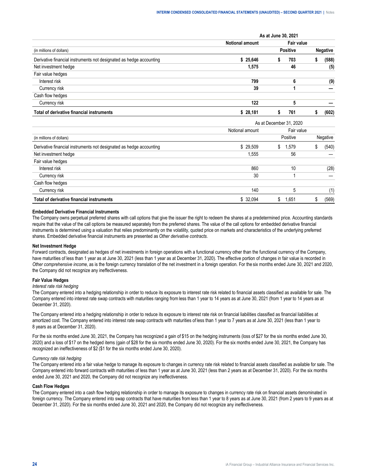|                                                                     | As at June 30, 2021    |                 |            |                 |       |  |  |  |  |
|---------------------------------------------------------------------|------------------------|-----------------|------------|-----------------|-------|--|--|--|--|
|                                                                     | <b>Notional amount</b> |                 | Fair value |                 |       |  |  |  |  |
| (in millions of dollars)                                            |                        | <b>Positive</b> |            | <b>Negative</b> |       |  |  |  |  |
| Derivative financial instruments not designated as hedge accounting | \$25.646               |                 | 703        |                 | (588) |  |  |  |  |
| Net investment hedge                                                | 1.575                  |                 | 46         |                 | (5)   |  |  |  |  |
| Fair value hedges                                                   |                        |                 |            |                 |       |  |  |  |  |
| Interest risk                                                       | 799                    |                 |            |                 | (9)   |  |  |  |  |
| Currency risk                                                       | 39                     |                 |            |                 |       |  |  |  |  |
| Cash flow hedges                                                    |                        |                 |            |                 |       |  |  |  |  |
| Currency risk                                                       | 122                    |                 |            |                 |       |  |  |  |  |
| Total of derivative financial instruments                           | \$28,181               |                 | 761        |                 | 1602  |  |  |  |  |

|                                                                     | As at December 31, 2020 |             |          |  |  |  |  |  |  |
|---------------------------------------------------------------------|-------------------------|-------------|----------|--|--|--|--|--|--|
|                                                                     | Notional amount         | Fair value  |          |  |  |  |  |  |  |
| (in millions of dollars)                                            |                         | Positive    | Negative |  |  |  |  |  |  |
| Derivative financial instruments not designated as hedge accounting | \$29.509                | 1.579<br>S. | (540)    |  |  |  |  |  |  |
| Net investment hedge                                                | 1.555                   | 56          |          |  |  |  |  |  |  |
| Fair value hedges                                                   |                         |             |          |  |  |  |  |  |  |
| Interest risk                                                       | 860                     | 10          | (28)     |  |  |  |  |  |  |
| Currency risk                                                       | 30                      |             |          |  |  |  |  |  |  |
| Cash flow hedges                                                    |                         |             |          |  |  |  |  |  |  |
| Currency risk                                                       | 140                     | 5           | (1)      |  |  |  |  |  |  |
| Total of derivative financial instruments                           | \$ 32.094               | .651        | (569)    |  |  |  |  |  |  |

#### **Embedded Derivative Financial Instruments**

The Company owns perpetual preferred shares with call options that give the issuer the right to redeem the shares at a predetermined price. Accounting standards require that the value of the call options be measured separately from the preferred shares. The value of the call options for embedded derivative financial instruments is determined using a valuation that relies predominantly on the volatility, quoted price on markets and characteristics of the underlying preferred shares. Embedded derivative financial instruments are presented as *Other derivative contracts*.

#### **Net Investment Hedge**

Forward contracts, designated as hedges of net investments in foreign operations with a functional currency other than the functional currency of the Company, have maturities of less than 1 year as at June 30, 2021 (less than 1 year as at December 31, 2020). The effective portion of changes in fair value is recorded in *Other comprehensive income*, as is the foreign currency translation of the net investment in a foreign operation. For the six months ended June 30, 2021 and 2020, the Company did not recognize any ineffectiveness.

# **Fair Value Hedges**

#### *Interest rate risk hedging*

The Company entered into a hedging relationship in order to reduce its exposure to interest rate risk related to financial assets classified as available for sale. The Company entered into interest rate swap contracts with maturities ranging from less than 1 year to 14 years as at June 30, 2021 (from 1 year to 14 years as at December 31, 2020).

The Company entered into a hedging relationship in order to reduce its exposure to interest rate risk on financial liabilities classified as financial liabilities at amortized cost. The Company entered into interest rate swap contracts with maturities of less than 1 year to 7 years as at June 30, 2021 (less than 1 year to 8 years as at December 31, 2020).

For the six months ended June 30, 2021, the Company has recognized a gain of \$15 on the hedging instruments (loss of \$27 for the six months ended June 30, 2020) and a loss of \$17 on the hedged items (gain of \$28 for the six months ended June 30, 2020). For the six months ended June 30, 2021, the Company has recognized an ineffectiveness of \$2 (\$1 for the six months ended June 30, 2020).

#### *Currency rate risk hedging*

The Company entered into a fair value hedge to manage its exposure to changes in currency rate risk related to financial assets classified as available for sale. The Company entered into forward contracts with maturities of less than 1 year as at June 30, 2021 (less than 2 years as at December 31, 2020). For the six months ended June 30, 2021 and 2020, the Company did not recognize any ineffectiveness.

#### **Cash Flow Hedges**

The Company entered into a cash flow hedging relationship in order to manage its exposure to changes in currency rate risk on financial assets denominated in foreign currency. The Company entered into swap contracts that have maturities from less than 1 year to 8 years as at June 30, 2021 (from 2 years to 9 years as at December 31, 2020). For the six months ended June 30, 2021 and 2020, the Company did not recognize any ineffectiveness.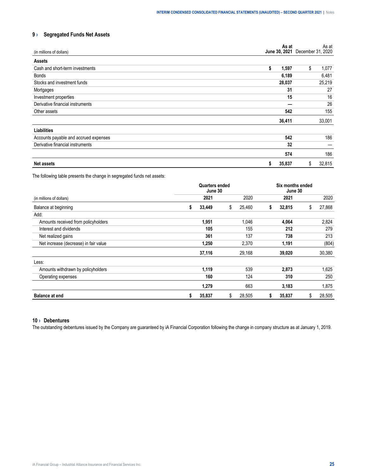# <span id="page-24-0"></span>**9 › Segregated Funds Net Assets**

| (in millions of dollars)              | As at<br>June 30, 2021 | As at<br>December 31, 2020 |
|---------------------------------------|------------------------|----------------------------|
| <b>Assets</b>                         |                        |                            |
| Cash and short-term investments       | \$<br>1,597            | \$<br>1,077                |
| Bonds                                 | 6,189                  | 6,481                      |
| Stocks and investment funds           | 28,037                 | 25,219                     |
| Mortgages                             | 31                     | 27                         |
| Investment properties                 | 15                     | 16                         |
| Derivative financial instruments      |                        | 26                         |
| Other assets                          | 542                    | 155                        |
|                                       | 36,411                 | 33,001                     |
| Liabilities                           |                        |                            |
| Accounts payable and accrued expenses | 542                    | 186                        |
| Derivative financial instruments      | 32                     |                            |
|                                       | 574                    | 186                        |
| <b>Net assets</b>                     | 35,837<br>\$           | 32,815<br>\$               |

The following table presents the change in segregated funds net assets:

|                                       |   | <b>Quarters ended</b><br>June 30 |              | Six months ended<br>June 30 |        |    |        |  |
|---------------------------------------|---|----------------------------------|--------------|-----------------------------|--------|----|--------|--|
| (in millions of dollars)              |   | 2021                             | 2020         |                             | 2021   |    | 2020   |  |
| Balance at beginning                  |   | 33,449                           | \$<br>25,460 | s                           | 32,815 | \$ | 27,868 |  |
| Add:                                  |   |                                  |              |                             |        |    |        |  |
| Amounts received from policyholders   |   | 1,951                            | 1,046        |                             | 4,064  |    | 2,824  |  |
| Interest and dividends                |   | 105                              | 155          |                             | 212    |    | 279    |  |
| Net realized gains                    |   | 361                              | 137          |                             | 738    |    | 213    |  |
| Net increase (decrease) in fair value |   | 1,250                            | 2,370        |                             | 1,191  |    | (804)  |  |
|                                       |   | 37,116                           | 29,168       |                             | 39,020 |    | 30,380 |  |
| Less:                                 |   |                                  |              |                             |        |    |        |  |
| Amounts withdrawn by policyholders    |   | 1,119                            | 539          |                             | 2,873  |    | 1,625  |  |
| Operating expenses                    |   | 160                              | 124          |                             | 310    |    | 250    |  |
|                                       |   | 1,279                            | 663          |                             | 3,183  |    | 1,875  |  |
| <b>Balance at end</b>                 | S | 35,837                           | \$<br>28,505 | S                           | 35,837 | \$ | 28,505 |  |

# **10 › Debentures**

The outstanding debentures issued by the Company are guaranteed by iA Financial Corporation following the change in company structure as at January 1, 2019.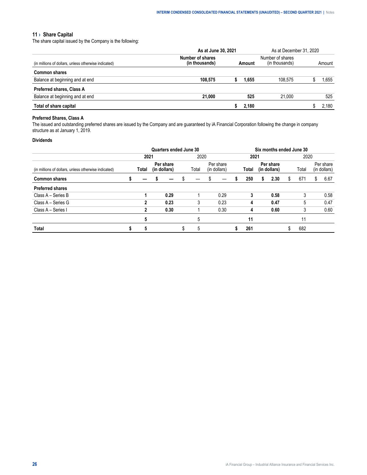# <span id="page-25-0"></span>**11 › Share Capital**

The share capital issued by the Company is the following:

|                                                      | As at June 30, 2021                | As at December 31, 2020 |                                    |         |        |      |
|------------------------------------------------------|------------------------------------|-------------------------|------------------------------------|---------|--------|------|
| (in millions of dollars, unless otherwise indicated) | Number of shares<br>(in thousands) | Amount                  | Number of shares<br>(in thousands) |         | Amount |      |
| <b>Common shares</b>                                 |                                    |                         |                                    |         |        |      |
| Balance at beginning and at end                      | 108.575                            |                         | 1.655                              | 108.575 |        | .655 |
| <b>Preferred shares, Class A</b>                     |                                    |                         |                                    |         |        |      |
| Balance at beginning and at end                      | 21,000                             |                         | 525                                | 21.000  |        | 525  |
| Total of share capital                               |                                    |                         | 2.180                              |         |        | .180 |

# **Preferred Shares, Class A**

The issued and outstanding preferred shares are issued by the Company and are guaranteed by iA Financial Corporation following the change in company structure as at January 1, 2019.

# **Dividends**

|                                                      | Quarters ended June 30 |              |  |                           |  |       |  |                           |  | Six months ended June 30 |   |                           |   |       |    |                           |
|------------------------------------------------------|------------------------|--------------|--|---------------------------|--|-------|--|---------------------------|--|--------------------------|---|---------------------------|---|-------|----|---------------------------|
|                                                      |                        | 2021         |  |                           |  | 2020  |  |                           |  | 2021                     |   |                           |   | 2020  |    |                           |
| (in millions of dollars, unless otherwise indicated) |                        | Total        |  | Per share<br>(in dollars) |  | Total |  | Per share<br>(in dollars) |  | Total                    |   | Per share<br>(in dollars) |   | Total |    | Per share<br>(in dollars) |
| <b>Common shares</b>                                 |                        |              |  |                           |  |       |  |                           |  | 250                      | S | 2.30                      | S | 671   | S. | 6.67                      |
| <b>Preferred shares</b>                              |                        |              |  |                           |  |       |  |                           |  |                          |   |                           |   |       |    |                           |
| Class A - Series B                                   |                        |              |  | 0.29                      |  |       |  | 0.29                      |  | 3                        |   | 0.58                      |   |       |    | 0.58                      |
| Class A - Series G                                   |                        | 2            |  | 0.23                      |  | 3     |  | 0.23                      |  | 4                        |   | 0.47                      |   | 5     |    | 0.47                      |
| Class A - Series I                                   |                        | $\mathbf{2}$ |  | 0.30                      |  |       |  | 0.30                      |  | 4                        |   | 0.60                      |   |       |    | 0.60                      |
|                                                      |                        |              |  |                           |  |       |  |                           |  | 11                       |   |                           |   |       |    |                           |
| Total                                                |                        |              |  |                           |  |       |  |                           |  | 261                      |   |                           |   | 682   |    |                           |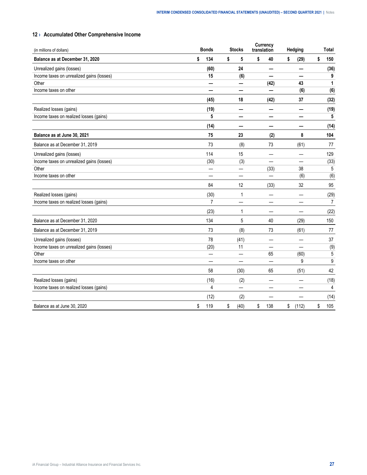# <span id="page-26-0"></span>**12 › Accumulated Other Comprehensive Income**

| (in millions of dollars)                  | <b>Bonds</b>   | <b>Stocks</b> |                          | translation | <b>Currency</b> | Hedging     | Total     |
|-------------------------------------------|----------------|---------------|--------------------------|-------------|-----------------|-------------|-----------|
| Balance as at December 31, 2020           | \$<br>134      | \$            | 5                        | \$          | 40              | \$<br>(29)  | \$<br>150 |
| Unrealized gains (losses)                 | (60)           |               | 24                       |             | -               | –           | (36)      |
| Income taxes on unrealized gains (losses) | 15             |               | (6)                      |             |                 |             | 9         |
| Other                                     |                |               | —                        |             | (42)            | 43          | 1         |
| Income taxes on other                     | -              |               | $\overline{\phantom{0}}$ |             |                 | (6)         | (6)       |
|                                           | (45)           |               | 18                       |             | (42)            | 37          | (32)      |
| Realized losses (gains)                   | (19)           |               |                          |             |                 | –           | (19)      |
| Income taxes on realized losses (gains)   | 5              |               |                          |             |                 |             | 5         |
|                                           | (14)           |               | —                        |             | —               | —           | (14)      |
| Balance as at June 30, 2021               | 75             |               | 23                       |             | (2)             | 8           | 104       |
| Balance as at December 31, 2019           | 73             |               | (8)                      |             | 73              | (61)        | 77        |
| Unrealized gains (losses)                 | 114            |               | 15                       |             |                 |             | 129       |
| Income taxes on unrealized gains (losses) | (30)           |               | (3)                      |             |                 |             | (33)      |
| Other                                     |                |               |                          |             | (33)            | 38          | 5         |
| Income taxes on other                     |                |               |                          |             |                 | (6)         | (6)       |
|                                           | 84             |               | 12                       |             | (33)            | 32          | 95        |
| Realized losses (gains)                   | (30)           |               | 1                        |             |                 | -           | (29)      |
| Income taxes on realized losses (gains)   | $\overline{7}$ |               |                          |             |                 |             | 7         |
|                                           | (23)           |               | 1                        |             |                 |             | (22)      |
| Balance as at December 31, 2020           | 134            |               | 5                        |             | 40              | (29)        | 150       |
| Balance as at December 31, 2019           | 73             |               | (8)                      |             | 73              | (61)        | 77        |
| Unrealized gains (losses)                 | 78             |               | (41)                     |             |                 |             | 37        |
| Income taxes on unrealized gains (losses) | (20)           |               | 11                       |             |                 |             | (9)       |
| Other                                     |                |               |                          |             | 65              | (60)        | 5         |
| Income taxes on other                     |                |               |                          |             |                 | 9           | 9         |
|                                           | 58             |               | (30)                     |             | 65              | (51)        | 42        |
| Realized losses (gains)                   | (16)           |               | (2)                      |             |                 |             | (18)      |
| Income taxes on realized losses (gains)   | 4              |               | $\overline{\phantom{0}}$ |             |                 |             | 4         |
|                                           | (12)           |               | (2)                      |             |                 |             | (14)      |
| Balance as at June 30, 2020               | \$<br>119      | \$            | (40)                     | \$          | 138             | \$<br>(112) | \$<br>105 |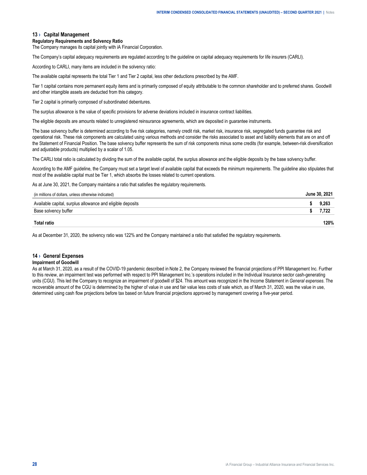# <span id="page-27-0"></span>**13 › Capital Management**

#### **Regulatory Requirements and Solvency Ratio**

The Company manages its capital jointly with iA Financial Corporation.

The Company's capital adequacy requirements are regulated according to the guideline on capital adequacy requirements for life insurers (CARLI).

According to CARLI, many items are included in the solvency ratio:

The available capital represents the total Tier 1 and Tier 2 capital, less other deductions prescribed by the AMF.

Tier 1 capital contains more permanent equity items and is primarily composed of equity attributable to the common shareholder and to preferred shares. Goodwill and other intangible assets are deducted from this category.

Tier 2 capital is primarily composed of subordinated debentures.

The surplus allowance is the value of specific provisions for adverse deviations included in insurance contract liabilities.

The eligible deposits are amounts related to unregistered reinsurance agreements, which are deposited in guarantee instruments.

The base solvency buffer is determined according to five risk categories, namely credit risk, market risk, insurance risk, segregated funds guarantee risk and operational risk. These risk components are calculated using various methods and consider the risks associated to asset and liability elements that are on and off the Statement of Financial Position. The base solvency buffer represents the sum of risk components minus some credits (for example, between-risk diversification and adjustable products) multiplied by a scalar of 1.05.

The CARLI total ratio is calculated by dividing the sum of the available capital, the surplus allowance and the eligible deposits by the base solvency buffer.

According to the AMF guideline, the Company must set a target level of available capital that exceeds the minimum requirements. The guideline also stipulates that most of the available capital must be Tier 1, which absorbs the losses related to current operations.

As at June 30, 2021, the Company maintains a ratio that satisfies the regulatory requirements.

| (in millions of dollars, unless otherwise indicated)       |     |
|------------------------------------------------------------|-----|
| Available capital, surplus allowance and eligible deposits |     |
| Base solvency buffer                                       |     |
|                                                            | 20% |

As at December 31, 2020, the solvency ratio was 122% and the Company maintained a ratio that satisfied the regulatory requirements.

# **14 › General Expenses**

#### **Impairment of Goodwill**

As at March 31, 2020, as a result of the COVID-19 pandemic described in Note 2, the Company reviewed the financial projections of PPI Management Inc. Further to this review, an impairment test was performed with respect to PPI Management Inc.'s operations included in the Individual Insurance sector cash-generating units (CGU). This led the Company to recognize an impairment of goodwill of \$24. This amount was recognized in the Income Statement in *General expenses*. The recoverable amount of the CGU is determined by the higher of value in use and fair value less costs of sale which, as of March 31, 2020, was the value in use, determined using cash flow projections before tax based on future financial projections approved by management covering a five-year period.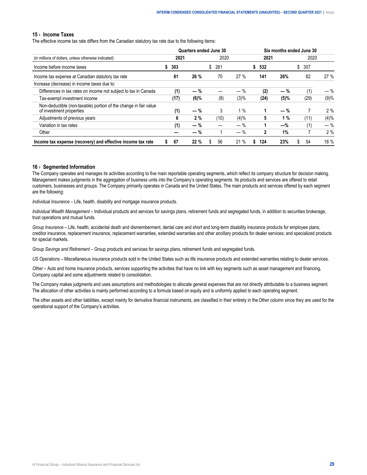# <span id="page-28-0"></span>**15 › Income Taxes**

The effective income tax rate differs from the Canadian statutory tax rate due to the following items:

|                                                                                              |         |       | Quarters ended June 30 |       |           |       | Six months ended June 30 |       |
|----------------------------------------------------------------------------------------------|---------|-------|------------------------|-------|-----------|-------|--------------------------|-------|
| (in millions of dollars, unless otherwise indicated)                                         | 2021    |       | 2020                   |       | 2021      |       | 2020                     |       |
| Income before income taxes                                                                   | 303     |       | 261<br>\$              |       | 532       |       | \$ 307                   |       |
| Income tax expense at Canadian statutory tax rate                                            | 81      | 26 %  | 70                     | 27%   | 141       | 26%   | 82                       | 27 %  |
| Increase (decrease) in income taxes due to:                                                  |         |       |                        |       |           |       |                          |       |
| Differences in tax rates on income not subject to tax in Canada                              | (1)     | $-$ % |                        | — %   | (2)       | $-$ % | (1)                      | $-$ % |
| Tax-exempt investment income                                                                 | (17)    | (6)%  | (8)                    | (3)%  | (24)      | (5)%  | (29)                     | (9)%  |
| Non-deductible (non-taxable) portion of the change in fair value<br>of investment properties | (1)     | $-$ % | 3                      | 1 %   | 1         | $-$ % |                          | 2%    |
| Adjustments of previous years                                                                | 6       | 2%    | (10)                   | (4)%  | 5         | 1%    | (11)                     | (4)%  |
| Variation in tax rates                                                                       | (1)     | $-$ % |                        | $-$ % |           | -%    | (1)                      | $-$ % |
| Other                                                                                        |         | $-$ % |                        | $-$ % | 2         | 1%    |                          | 2%    |
| Income tax expense (recovery) and effective income tax rate                                  | 67<br>5 | 22%   | 56<br>S                | 21%   | 124<br>S. | 23%   | 54<br>\$.                | 18 %  |

## **16 › Segmented Information**

The Company operates and manages its activities according to five main reportable operating segments, which reflect its company structure for decision making. Management makes judgments in the aggregation of business units into the Company's operating segments. Its products and services are offered to retail customers, businesses and groups. The Company primarily operates in Canada and the United States. The main products and services offered by each segment are the following:

*Individual Insurance* – Life, health, disability and mortgage insurance products.

*Individual Wealth Management* – Individual products and services for savings plans, retirement funds and segregated funds, in addition to securities brokerage, trust operations and mutual funds.

*Group Insurance* – Life, health, accidental death and dismemberment, dental care and short and long-term disability insurance products for employee plans; creditor insurance, replacement insurance, replacement warranties, extended warranties and other ancillary products for dealer services; and specialized products for special markets.

*Group Savings and Retirement* – Group products and services for savings plans, retirement funds and segregated funds.

*US Operations* – Miscellaneous insurance products sold in the United States such as life insurance products and extended warranties relating to dealer services.

*Other* – Auto and home insurance products, services supporting the activities that have no link with key segments such as asset management and financing, Company capital and some adjustments related to consolidation.

The Company makes judgments and uses assumptions and methodologies to allocate general expenses that are not directly attributable to a business segment. The allocation of other activities is mainly performed according to a formula based on equity and is uniformly applied to each operating segment.

The other assets and other liabilities, except mainly for derivative financial instruments, are classified in their entirety in the *Other* column since they are used for the operational support of the Company's activities.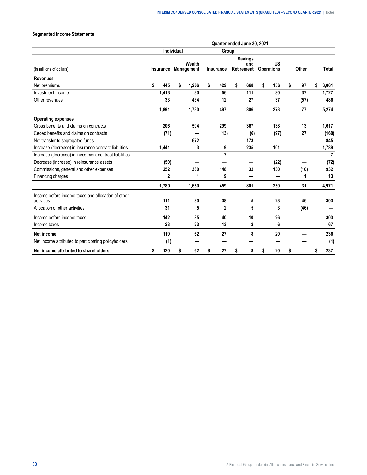# **Segmented Income Statements**

|                                                                  |              |                   |                      | Quarter ended June 30, 2021 |                                     |                          |          |                |
|------------------------------------------------------------------|--------------|-------------------|----------------------|-----------------------------|-------------------------------------|--------------------------|----------|----------------|
|                                                                  |              | <b>Individual</b> |                      | Group                       |                                     |                          |          |                |
| (in millions of dollars)                                         | Insurance    |                   | Wealth<br>Management | Insurance                   | <b>Savings</b><br>and<br>Retirement | US<br><b>Operations</b>  | Other    | <b>Total</b>   |
| <b>Revenues</b>                                                  |              |                   |                      |                             |                                     |                          |          |                |
| Net premiums                                                     | \$<br>445    | \$                | 1,266                | \$<br>429                   | \$<br>668                           | \$<br>156                | \$<br>97 | \$<br>3,061    |
| Investment income                                                | 1,413        |                   | 30                   | 56                          | 111                                 | 80                       | 37       | 1,727          |
| Other revenues                                                   | 33           |                   | 434                  | 12                          | 27                                  | 37                       | (57)     | 486            |
|                                                                  | 1,891        |                   | 1,730                | 497                         | 806                                 | 273                      | 77       | 5,274          |
| <b>Operating expenses</b>                                        |              |                   |                      |                             |                                     |                          |          |                |
| Gross benefits and claims on contracts                           | 206          |                   | 594                  | 299                         | 367                                 | 138                      | 13       | 1,617          |
| Ceded benefits and claims on contracts                           | (71)         |                   |                      | (13)                        | (6)                                 | (97)                     | 27       | (160)          |
| Net transfer to segregated funds                                 |              |                   | 672                  | —                           | 173                                 | —                        |          | 845            |
| Increase (decrease) in insurance contract liabilities            | 1,441        |                   | 3                    | 9                           | 235                                 | 101                      | —        | 1,789          |
| Increase (decrease) in investment contract liabilities           |              |                   | –                    | 7                           |                                     |                          |          | $\overline{7}$ |
| Decrease (increase) in reinsurance assets                        | (50)         |                   | —                    | —                           | —                                   | (22)                     | —        | (72)           |
| Commissions, general and other expenses                          | 252          |                   | 380                  | 148                         | 32                                  | 130                      | (10)     | 932            |
| Financing charges                                                | $\mathbf{2}$ |                   | 1                    | 9                           | -                                   | $\overline{\phantom{0}}$ | 1        | 13             |
|                                                                  | 1,780        |                   | 1.650                | 459                         | 801                                 | 250                      | 31       | 4,971          |
| Income before income taxes and allocation of other<br>activities | 111          |                   | 80                   | 38                          | 5                                   | 23                       | 46       | 303            |
| Allocation of other activities                                   | 31           |                   | 5                    | $\mathbf{2}$                | 5                                   | 3                        | (46)     |                |
| Income before income taxes                                       | 142          |                   | 85                   | 40                          | 10                                  | 26                       |          | 303            |
| Income taxes                                                     | 23           |                   | 23                   | 13                          | $\mathbf{2}$                        | 6                        | –        | 67             |
| Net income                                                       | 119          |                   | 62                   | 27                          | 8                                   | 20                       |          | 236            |
| Net income attributed to participating policyholders             | (1)          |                   | -                    | –                           |                                     | -                        |          | (1)            |
| Net income attributed to shareholders                            | \$<br>120    | \$                | 62                   | \$<br>27                    | \$<br>8                             | \$<br>20                 | \$       | \$<br>237      |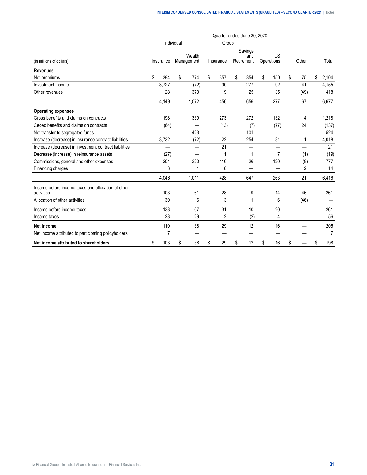|                                                                                                                                                                                                                                                                                                                                                                                                                                                                                                                                                                                                                                                           |           |            |                      | Quarter ended June 30, 2020 |                              |                  |          |                |
|-----------------------------------------------------------------------------------------------------------------------------------------------------------------------------------------------------------------------------------------------------------------------------------------------------------------------------------------------------------------------------------------------------------------------------------------------------------------------------------------------------------------------------------------------------------------------------------------------------------------------------------------------------------|-----------|------------|----------------------|-----------------------------|------------------------------|------------------|----------|----------------|
|                                                                                                                                                                                                                                                                                                                                                                                                                                                                                                                                                                                                                                                           |           | Individual |                      | Group                       |                              |                  |          |                |
| (in millions of dollars)<br><b>Revenues</b><br>Net premiums<br>Investment income<br>Other revenues<br><b>Operating expenses</b><br>Gross benefits and claims on contracts<br>Ceded benefits and claims on contracts<br>Net transfer to segregated funds<br>Increase (decrease) in insurance contract liabilities<br>Increase (decrease) in investment contract liabilities<br>Decrease (increase) in reinsurance assets<br>Commissions, general and other expenses<br>Financing charges<br>Income before income taxes and allocation of other<br>activities<br>Allocation of other activities<br>Income before income taxes<br>Income taxes<br>Net income | Insurance |            | Wealth<br>Management | Insurance                   | Savings<br>and<br>Retirement | US<br>Operations | Other    | Total          |
|                                                                                                                                                                                                                                                                                                                                                                                                                                                                                                                                                                                                                                                           |           |            |                      |                             |                              |                  |          |                |
|                                                                                                                                                                                                                                                                                                                                                                                                                                                                                                                                                                                                                                                           | \$<br>394 | \$         | 774                  | \$<br>357                   | \$<br>354                    | \$<br>150        | \$<br>75 | \$<br>2,104    |
|                                                                                                                                                                                                                                                                                                                                                                                                                                                                                                                                                                                                                                                           | 3,727     |            | (72)                 | 90                          | 277                          | 92               | 41       | 4,155          |
|                                                                                                                                                                                                                                                                                                                                                                                                                                                                                                                                                                                                                                                           | 28        |            | 370                  | 9                           | 25                           | 35               | (49)     | 418            |
|                                                                                                                                                                                                                                                                                                                                                                                                                                                                                                                                                                                                                                                           | 4,149     |            | 1,072                | 456                         | 656                          | 277              | 67       | 6,677          |
|                                                                                                                                                                                                                                                                                                                                                                                                                                                                                                                                                                                                                                                           |           |            |                      |                             |                              |                  |          |                |
|                                                                                                                                                                                                                                                                                                                                                                                                                                                                                                                                                                                                                                                           | 198       |            | 339                  | 273                         | 272                          | 132              | 4        | 1,218          |
|                                                                                                                                                                                                                                                                                                                                                                                                                                                                                                                                                                                                                                                           | (64)      |            |                      | (13)                        | (7)                          | (77)             | 24       | (137)          |
|                                                                                                                                                                                                                                                                                                                                                                                                                                                                                                                                                                                                                                                           |           |            | 423                  |                             | 101                          |                  | —        | 524            |
|                                                                                                                                                                                                                                                                                                                                                                                                                                                                                                                                                                                                                                                           | 3,732     |            | (72)                 | 22                          | 254                          | 81               | 1        | 4,018          |
|                                                                                                                                                                                                                                                                                                                                                                                                                                                                                                                                                                                                                                                           | —         |            | —                    | 21                          |                              | —                | —        | 21             |
|                                                                                                                                                                                                                                                                                                                                                                                                                                                                                                                                                                                                                                                           | (27)      |            |                      | $\mathbf{1}$                | $\mathbf 1$                  | $\overline{7}$   | (1)      | (19)           |
|                                                                                                                                                                                                                                                                                                                                                                                                                                                                                                                                                                                                                                                           | 204       |            | 320                  | 116                         | 26                           | 120              | (9)      | 777            |
|                                                                                                                                                                                                                                                                                                                                                                                                                                                                                                                                                                                                                                                           | 3         |            | 1                    | 8                           |                              |                  | 2        | 14             |
|                                                                                                                                                                                                                                                                                                                                                                                                                                                                                                                                                                                                                                                           | 4,046     |            | 1,011                | 428                         | 647                          | 263              | 21       | 6,416          |
|                                                                                                                                                                                                                                                                                                                                                                                                                                                                                                                                                                                                                                                           | 103       |            | 61                   | 28                          | 9                            | 14               | 46       | 261            |
|                                                                                                                                                                                                                                                                                                                                                                                                                                                                                                                                                                                                                                                           | 30        |            | 6                    | 3                           | 1                            | 6                | (46)     |                |
|                                                                                                                                                                                                                                                                                                                                                                                                                                                                                                                                                                                                                                                           | 133       |            | 67                   | 31                          | 10                           | 20               |          | 261            |
|                                                                                                                                                                                                                                                                                                                                                                                                                                                                                                                                                                                                                                                           | 23        |            | 29                   | 2                           | (2)                          | 4                |          | 56             |
|                                                                                                                                                                                                                                                                                                                                                                                                                                                                                                                                                                                                                                                           | 110       |            | 38                   | 29                          | 12                           | 16               |          | 205            |
| Net income attributed to participating policyholders                                                                                                                                                                                                                                                                                                                                                                                                                                                                                                                                                                                                      | 7         |            | —                    |                             |                              | —                |          | $\overline{7}$ |
| Net income attributed to shareholders                                                                                                                                                                                                                                                                                                                                                                                                                                                                                                                                                                                                                     | \$<br>103 | \$         | 38                   | \$<br>29                    | \$<br>12                     | \$<br>16         | \$       | \$<br>198      |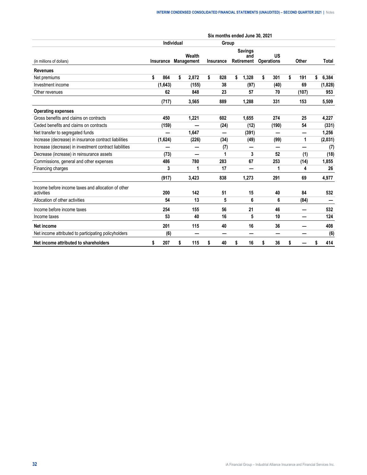|                                                                  |           |            |        |                  | Six months ended June 30, 2021      |                         |           |             |
|------------------------------------------------------------------|-----------|------------|--------|------------------|-------------------------------------|-------------------------|-----------|-------------|
|                                                                  |           | Individual |        | Group            |                                     |                         |           |             |
| (in millions of dollars)                                         | Insurance | Management | Wealth | <b>Insurance</b> | <b>Savings</b><br>and<br>Retirement | US<br><b>Operations</b> | Other     | Total       |
| <b>Revenues</b>                                                  |           |            |        |                  |                                     |                         |           |             |
| Net premiums                                                     | \$<br>864 | \$         | 2,872  | \$<br>828        | \$<br>1,328                         | \$<br>301               | \$<br>191 | \$<br>6,384 |
| Investment income                                                | (1,643)   |            | (155)  | 38               | (97)                                | (40)                    | 69        | (1,828)     |
| Other revenues                                                   | 62        |            | 848    | 23               | 57                                  | 70                      | (107)     | 953         |
|                                                                  | (717)     |            | 3,565  | 889              | 1,288                               | 331                     | 153       | 5,509       |
| <b>Operating expenses</b>                                        |           |            |        |                  |                                     |                         |           |             |
| Gross benefits and claims on contracts                           | 450       |            | 1,221  | 602              | 1,655                               | 274                     | 25        | 4,227       |
| Ceded benefits and claims on contracts                           | (159)     |            |        | (24)             | (12)                                | (190)                   | 54        | (331)       |
| Net transfer to segregated funds                                 |           |            | 1,647  |                  | (391)                               |                         | —         | 1,256       |
| Increase (decrease) in insurance contract liabilities            | (1,624)   |            | (226)  | (34)             | (49)                                | (99)                    | 1         | (2,031)     |
| Increase (decrease) in investment contract liabilities           |           |            | -      | (7)              | —                                   | —                       | —         | (7)         |
| Decrease (increase) in reinsurance assets                        | (73)      |            |        | 1                | 3                                   | 52                      | (1)       | (18)        |
| Commissions, general and other expenses                          | 486       |            | 780    | 283              | 67                                  | 253                     | (14)      | 1,855       |
| Financing charges                                                | 3         |            | 1      | 17               |                                     | 1                       | 4         | 26          |
|                                                                  | (917)     |            | 3,423  | 838              | 1,273                               | 291                     | 69        | 4,977       |
| Income before income taxes and allocation of other<br>activities | 200       |            | 142    | 51               | 15                                  | 40                      | 84        | 532         |
| Allocation of other activities                                   | 54        |            | 13     | 5                | 6                                   | 6                       | (84)      |             |
| Income before income taxes                                       | 254       |            | 155    | 56               | 21                                  | 46                      |           | 532         |
| Income taxes                                                     | 53        |            | 40     | 16               | 5                                   | 10                      |           | 124         |
| Net income                                                       | 201       |            | 115    | 40               | 16                                  | 36                      |           | 408         |
| Net income attributed to participating policyholders             | (6)       |            | -      |                  |                                     | –                       |           | (6)         |
| Net income attributed to shareholders                            | \$<br>207 | \$         | 115    | \$<br>40         | \$<br>16                            | \$<br>36                | \$        | 414         |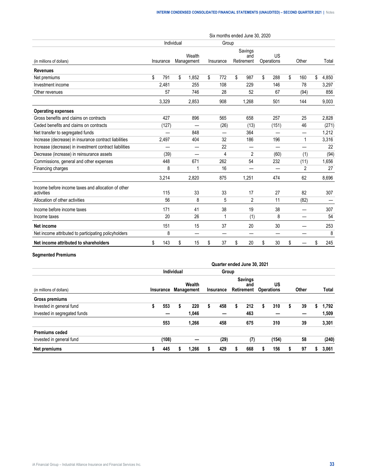|                                                                  |           |            |                      | Six months ended June 30, 2020 |                              |                  |           |             |
|------------------------------------------------------------------|-----------|------------|----------------------|--------------------------------|------------------------------|------------------|-----------|-------------|
|                                                                  |           | Individual |                      | Group                          |                              |                  |           |             |
| (in millions of dollars)                                         | Insurance |            | Wealth<br>Management | Insurance                      | Savings<br>and<br>Retirement | US<br>Operations | Other     | Total       |
| <b>Revenues</b>                                                  |           |            |                      |                                |                              |                  |           |             |
| Net premiums                                                     | \$<br>791 | \$         | 1,852                | \$<br>772                      | \$<br>987                    | \$<br>288        | \$<br>160 | \$<br>4,850 |
| Investment income                                                | 2,481     |            | 255                  | 108                            | 229                          | 146              | 78        | 3,297       |
| Other revenues                                                   | 57        |            | 746                  | 28                             | 52                           | 67               | (94)      | 856         |
|                                                                  | 3,329     |            | 2,853                | 908                            | 1,268                        | 501              | 144       | 9,003       |
| <b>Operating expenses</b>                                        |           |            |                      |                                |                              |                  |           |             |
| Gross benefits and claims on contracts                           | 427       |            | 896                  | 565                            | 658                          | 257              | 25        | 2,828       |
| Ceded benefits and claims on contracts                           | (127)     |            |                      | (26)                           | (13)                         | (151)            | 46        | (271)       |
| Net transfer to segregated funds                                 |           |            | 848                  |                                | 364                          |                  |           | 1,212       |
| Increase (decrease) in insurance contract liabilities            | 2,497     |            | 404                  | 32                             | 186                          | 196              | 1         | 3,316       |
| Increase (decrease) in investment contract liabilities           |           |            |                      | 22                             |                              |                  |           | 22          |
| Decrease (increase) in reinsurance assets                        | (39)      |            |                      | 4                              | $\overline{2}$               | (60)             | (1)       | (94)        |
| Commissions, general and other expenses                          | 448       |            | 671                  | 262                            | 54                           | 232              | (11)      | 1,656       |
| Financing charges                                                | 8         |            | 1                    | 16                             |                              |                  | 2         | 27          |
|                                                                  | 3,214     |            | 2,820                | 875                            | 1,251                        | 474              | 62        | 8,696       |
| Income before income taxes and allocation of other<br>activities | 115       |            | 33                   | 33                             | 17                           | 27               | 82        | 307         |
| Allocation of other activities                                   | 56        |            | 8                    | 5                              | $\overline{2}$               | 11               | (82)      |             |
| Income before income taxes                                       | 171       |            | 41                   | 38                             | 19                           | 38               |           | 307         |
| Income taxes                                                     | 20        |            | 26                   | 1                              | (1)                          | 8                |           | 54          |
| Net income                                                       | 151       |            | 15                   | 37                             | 20                           | 30               |           | 253         |
| Net income attributed to participating policyholders             | 8         |            | —                    |                                |                              | —                |           | 8           |
| Net income attributed to shareholders                            | \$<br>143 | \$         | 15                   | \$<br>37                       | \$<br>20                     | \$<br>30         | \$        | \$<br>245   |

# **Segmented Premiums**

|                              |   |       |            |                                |   | Quarter ended June 30, 2021 |                                     |   |                         |   |       |   |       |
|------------------------------|---|-------|------------|--------------------------------|---|-----------------------------|-------------------------------------|---|-------------------------|---|-------|---|-------|
|                              |   |       | Individual |                                |   | Group                       |                                     |   |                         |   |       |   |       |
| (in millions of dollars)     |   |       |            | Wealth<br>Insurance Management |   | Insurance                   | <b>Savings</b><br>and<br>Retirement |   | US<br><b>Operations</b> |   | Other |   | Total |
| Gross premiums               |   |       |            |                                |   |                             |                                     |   |                         |   |       |   |       |
| Invested in general fund     | ъ | 553   | \$         | 220                            | S | 458                         | \$<br>212                           | s | 310                     | S | 39    | S | 1.792 |
| Invested in segregated funds |   |       |            | 1,046                          |   |                             | 463                                 |   |                         |   |       |   | 1,509 |
|                              |   | 553   |            | 1,266                          |   | 458                         | 675                                 |   | 310                     |   | 39    |   | 3,301 |
| <b>Premiums ceded</b>        |   |       |            |                                |   |                             |                                     |   |                         |   |       |   |       |
| Invested in general fund     |   | (108) |            |                                |   | (29)                        | (7)                                 |   | (154)                   |   | 58    |   | (240) |
| Net premiums                 |   | 445   |            | 1,266                          |   | 429                         | 668                                 |   | 156                     |   | 97    |   | 3,061 |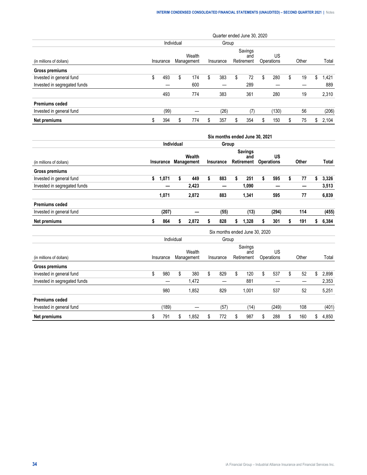|                              |   |           |            |                      |    | Quarter ended June 30, 2020 |   |                              |   |                  |   |       |   |       |
|------------------------------|---|-----------|------------|----------------------|----|-----------------------------|---|------------------------------|---|------------------|---|-------|---|-------|
|                              |   |           | Individual |                      |    | Group                       |   |                              |   |                  |   |       |   |       |
| (in millions of dollars)     |   | Insurance |            | Wealth<br>Management |    | Insurance                   |   | Savings<br>and<br>Retirement |   | US<br>Operations |   | Other |   | Total |
| Gross premiums               |   |           |            |                      |    |                             |   |                              |   |                  |   |       |   |       |
| Invested in general fund     | S | 493       | S          | 174                  | \$ | 383                         | S | 72                           | S | 280              | S | 19    | S | .421  |
| Invested in segregated funds |   |           |            | 600                  |    |                             |   | 289                          |   |                  |   |       |   | 889   |
|                              |   | 493       |            | 774                  |    | 383                         |   | 361                          |   | 280              |   | 19    |   | 2,310 |
| <b>Premiums ceded</b>        |   |           |            |                      |    |                             |   |                              |   |                  |   |       |   |       |
| Invested in general fund     |   | (99)      |            |                      |    | (26)                        |   | (7)                          |   | (130)            |   | 56    |   | (206) |
| Net premiums                 |   | 394       | S          | 774                  | S  | 357                         | S | 354                          | S | 150              | S | 75    | S | 2.104 |

|                                                                                                                                                                                                                                                                                                                                                            |             |            |                      |                  | Six months ended June 30, 2021      |                         |           |             |
|------------------------------------------------------------------------------------------------------------------------------------------------------------------------------------------------------------------------------------------------------------------------------------------------------------------------------------------------------------|-------------|------------|----------------------|------------------|-------------------------------------|-------------------------|-----------|-------------|
|                                                                                                                                                                                                                                                                                                                                                            |             | Individual |                      | Group            |                                     |                         |           |             |
| (in millions of dollars)<br>Gross premiums<br>Invested in general fund<br>Invested in segregated funds<br><b>Premiums ceded</b><br>Invested in general fund<br>Net premiums<br>(in millions of dollars)<br>Gross premiums<br>Invested in general fund<br>Invested in segregated funds<br><b>Premiums ceded</b><br>Invested in general fund<br>Net premiums | Insurance   |            | Wealth<br>Management | <b>Insurance</b> | <b>Savings</b><br>and<br>Retirement | US<br><b>Operations</b> | Other     | Total       |
|                                                                                                                                                                                                                                                                                                                                                            |             |            |                      |                  |                                     |                         |           |             |
|                                                                                                                                                                                                                                                                                                                                                            | \$<br>1,071 | \$         | 449                  | \$<br>883        | \$<br>251                           | \$<br>595               | \$<br>77  | \$<br>3,326 |
|                                                                                                                                                                                                                                                                                                                                                            |             |            | 2,423                | —                | 1,090                               | —                       | —         | 3,513       |
|                                                                                                                                                                                                                                                                                                                                                            | 1,071       |            | 2,872                | 883              | 1,341                               | 595                     | 77        | 6,839       |
|                                                                                                                                                                                                                                                                                                                                                            |             |            |                      |                  |                                     |                         |           |             |
|                                                                                                                                                                                                                                                                                                                                                            | (207)       |            |                      | (55)             | (13)                                | (294)                   | 114       | (455)       |
|                                                                                                                                                                                                                                                                                                                                                            | \$<br>864   | \$         | 2,872                | \$<br>828        | \$<br>1,328                         | \$<br>301               | \$<br>191 | \$<br>6,384 |
|                                                                                                                                                                                                                                                                                                                                                            |             |            |                      |                  | Six months ended June 30, 2020      |                         |           |             |
|                                                                                                                                                                                                                                                                                                                                                            |             | Individual |                      | Group            |                                     |                         |           |             |
|                                                                                                                                                                                                                                                                                                                                                            | Insurance   |            | Wealth<br>Management | Insurance        | Savings<br>and<br>Retirement        | US<br>Operations        | Other     | Total       |
|                                                                                                                                                                                                                                                                                                                                                            |             |            |                      |                  |                                     |                         |           |             |
|                                                                                                                                                                                                                                                                                                                                                            | \$<br>980   | \$         | 380                  | \$<br>829        | \$<br>120                           | \$<br>537               | \$<br>52  | \$<br>2,898 |
|                                                                                                                                                                                                                                                                                                                                                            |             |            | 1,472                |                  | 881                                 |                         |           | 2,353       |
|                                                                                                                                                                                                                                                                                                                                                            | 980         |            | 1,852                | 829              | 1,001                               | 537                     | 52        | 5,251       |
|                                                                                                                                                                                                                                                                                                                                                            |             |            |                      |                  |                                     |                         |           |             |
|                                                                                                                                                                                                                                                                                                                                                            | (189)       |            |                      | (57)             | (14)                                | (249)                   | 108       | (401)       |
|                                                                                                                                                                                                                                                                                                                                                            | \$<br>791   | \$         | 1,852                | \$<br>772        | \$<br>987                           | \$<br>288               | \$<br>160 | \$<br>4,850 |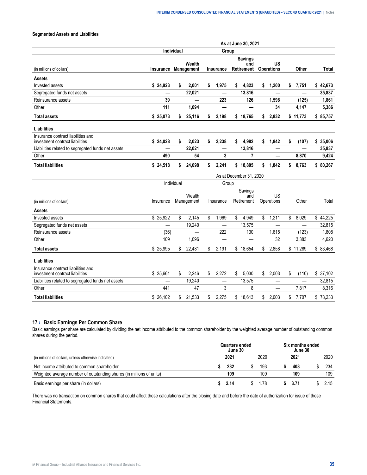# <span id="page-34-0"></span>**Segmented Assets and Liabilities**

|                                                                       |           |                   |            |                  | As at June 30, 2021                 |                                |             |              |
|-----------------------------------------------------------------------|-----------|-------------------|------------|------------------|-------------------------------------|--------------------------------|-------------|--------------|
|                                                                       |           | <b>Individual</b> |            | Group            |                                     |                                |             |              |
| (in millions of dollars)                                              | Insurance | Management        | Wealth     | <b>Insurance</b> | <b>Savings</b><br>and<br>Retirement | <b>US</b><br><b>Operations</b> | Other       | <b>Total</b> |
| Assets                                                                |           |                   |            |                  |                                     |                                |             |              |
| Invested assets                                                       | \$24,923  | \$                | 2,001      | \$<br>1,975      | \$<br>4,823                         | \$<br>1,200                    | \$<br>7,751 | \$42,673     |
| Segregated funds net assets                                           |           |                   | 22,021     | —                | 13,816                              |                                |             | 35,837       |
| Reinsurance assets                                                    | 39        |                   |            | 223              | 126                                 | 1,598                          | (125)       | 1,861        |
| Other                                                                 | 111       |                   | 1,094      | —                |                                     | 34                             | 4,147       | 5,386        |
| <b>Total assets</b>                                                   | \$25,073  | \$                | 25,116     | \$<br>2,198      | \$18,765                            | \$<br>2,832                    | \$11,773    | \$85,757     |
| Liabilities                                                           |           |                   |            |                  |                                     |                                |             |              |
| Insurance contract liabilities and<br>investment contract liabilities | \$24,028  | \$                | 2,023      | \$<br>2,238      | \$<br>4,982                         | \$<br>1,842                    | \$<br>(107) | \$35,006     |
| Liabilities related to segregated funds net assets                    |           |                   | 22,021     | —                | 13,816                              | —                              |             | 35,837       |
| Other                                                                 | 490       |                   | 54         | 3                | 7                                   | —                              | 8,870       | 9,424        |
| <b>Total liabilities</b>                                              | \$24,518  |                   | \$24,098   | \$<br>2,241      | \$18.805                            | \$1,842                        | \$<br>8,763 | \$80,267     |
|                                                                       |           |                   |            |                  | As at December 31, 2020             |                                |             |              |
|                                                                       |           | Individual        |            | Group            |                                     |                                |             |              |
|                                                                       |           |                   | Wealth     |                  | Savings                             | US                             |             |              |
| (in millions of dollars)                                              | Insurance |                   | Management | Insurance        | and<br>Retirement                   | Operations                     | Other       | Total        |
| <b>Assets</b>                                                         |           |                   |            |                  |                                     |                                |             |              |
| Invested assets                                                       | \$25,922  | \$                | 2,145      | \$<br>1,969      | \$<br>4,949                         | \$<br>1,211                    | \$<br>8,029 | \$44,225     |
| Segregated funds net assets                                           |           |                   | 19,240     | —                | 13,575                              |                                | —           | 32,815       |
| Reinsurance assets                                                    | (36)      |                   |            | 222              | 130                                 | 1,615                          | (123)       | 1,808        |
| Other                                                                 | 109       |                   | 1,096      | —                |                                     | 32                             | 3,383       | 4,620        |
| <b>Total assets</b>                                                   | \$ 25,995 | \$                | 22,481     | \$<br>2,191      | \$18,654                            | \$<br>2,858                    | \$11,289    | \$83,468     |
| <b>Liabilities</b>                                                    |           |                   |            |                  |                                     |                                |             |              |
| Insurance contract liabilities and<br>investment contract liabilities | \$25,661  | \$                | 2,246      | \$<br>2,272      | \$<br>5,030                         | \$<br>2.003                    | \$<br>(110) | \$37,102     |
| Liabilities related to segregated funds net assets                    |           |                   | 19,240     | —                | 13,575                              | —                              | —           | 32,815       |
| Other                                                                 | 441       |                   | 47         | 3                | 8                                   | —                              | 7,817       | 8,316        |
| <b>Total liabilities</b>                                              | \$26.102  | \$                | 21,533     | \$<br>2.275      | \$<br>18,613                        | \$<br>2.003                    | \$<br>7,707 | \$78,233     |

# **17 › Basic Earnings Per Common Share**

Basic earnings per share are calculated by dividing the net income attributed to the common shareholder by the weighted average number of outstanding common shares during the period.

|                                                                      | Quarters ended<br>June 30 |      | Six months ended<br>June 30 |      |
|----------------------------------------------------------------------|---------------------------|------|-----------------------------|------|
| (in millions of dollars, unless otherwise indicated)                 | 202′                      | 2020 | 2021                        | 2020 |
| Net income attributed to common shareholder                          | 232                       | 193  | 403                         | 234  |
| Weighted average number of outstanding shares (in millions of units) | 109                       |      | 109                         | 109  |
| Basic earnings per share (in dollars)                                | 2.14                      | -78  | 3.71                        |      |

There was no transaction on common shares that could affect these calculations after the closing date and before the date of authorization for issue of these Financial Statements.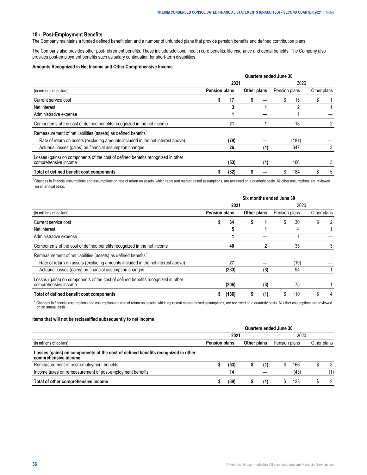#### <span id="page-35-0"></span>**18 › Post-Employment Benefits**

The Company maintains a funded defined benefit plan and a number of unfunded plans that provide pension benefits and defined contribution plans.

The Company also provides other post-retirement benefits. These include additional health care benefits, life insurance and dental benefits. The Company also provides post-employment benefits such as salary continuation for short-term disabilities.

## **Amounts Recognized in Net Income and Other Comprehensive Income**

| (in millions of dollars)                                                                                 | Quarters ended June 30 |      |             |     |               |       |             |   |  |
|----------------------------------------------------------------------------------------------------------|------------------------|------|-------------|-----|---------------|-------|-------------|---|--|
|                                                                                                          | 2021                   |      |             |     | 2020          |       |             |   |  |
|                                                                                                          | <b>Pension plans</b>   |      | Other plans |     | Pension plans |       | Other plans |   |  |
| Current service cost                                                                                     |                        | 17   |             |     |               | 15    |             |   |  |
| Net interest                                                                                             |                        |      |             |     |               |       |             |   |  |
| Administrative expense                                                                                   |                        |      |             |     |               |       |             |   |  |
| Components of the cost of defined benefits recognized in the net income                                  |                        | 21   |             |     |               | 18    |             |   |  |
| Remeasurement of net liabilities (assets) as defined benefits <sup>1</sup>                               |                        |      |             |     |               |       |             |   |  |
| Rate of return on assets (excluding amounts included in the net interest above)                          |                        | (79) |             |     |               | (181) |             |   |  |
| Actuarial losses (gains) on financial assumption changes                                                 |                        | 26   |             | (1) |               | 347   |             |   |  |
| Losses (gains) on components of the cost of defined benefits recognized in other<br>comprehensive income |                        | (53) |             | (1) |               | 166   |             |   |  |
| Total of defined benefit cost components                                                                 |                        | (32) |             |     |               | 184   |             | 5 |  |

<sup>1</sup> Changes in financial assumptions and assumptions on rate of return on assets, which represent market-based assumptions, are reviewed on a quarterly basis. All other assumptions are reviewed on an annual basis.

| (in millions of dollars)                                                                                 | Six months ended June 30 |       |             |     |               |      |             |  |
|----------------------------------------------------------------------------------------------------------|--------------------------|-------|-------------|-----|---------------|------|-------------|--|
|                                                                                                          | 2021                     |       |             |     | 2020          |      |             |  |
|                                                                                                          | <b>Pension plans</b>     |       | Other plans |     | Pension plans |      | Other plans |  |
| Current service cost                                                                                     |                          | 34    |             |     |               | 30   |             |  |
| Net interest                                                                                             |                          | 5     |             |     |               | 4    |             |  |
| Administrative expense                                                                                   |                          |       |             |     |               |      |             |  |
| Components of the cost of defined benefits recognized in the net income                                  |                          | 40    |             |     |               | 35   |             |  |
| Remeasurement of net liabilities (assets) as defined benefits <sup>1</sup>                               |                          |       |             |     |               |      |             |  |
| Rate of return on assets (excluding amounts included in the net interest above)                          |                          | 27    |             |     |               | (19) |             |  |
| Actuarial losses (gains) on financial assumption changes                                                 |                          | (233) |             | (3) |               | 94   |             |  |
| Losses (gains) on components of the cost of defined benefits recognized in other<br>comprehensive income |                          | (206) |             | (3) |               | 75   |             |  |
| Total of defined benefit cost components                                                                 |                          | (166) |             | (1) |               | 110  |             |  |

<sup>1</sup> Changes in financial assumptions and assumptions on rate of return on assets, which represent market-based assumptions, are reviewed on a quarterly basis. All other assumptions are reviewed on an annual basis.

# **Items that will not be reclassified subsequently to net income**

| (in millions of dollars)<br>Losses (gains) on components of the cost of defined benefits recognized in other<br>comprehensive income | Quarters ended June 30 |             |  |               |      |             |  |  |
|--------------------------------------------------------------------------------------------------------------------------------------|------------------------|-------------|--|---------------|------|-------------|--|--|
|                                                                                                                                      | 2021                   |             |  |               | 2020 |             |  |  |
|                                                                                                                                      | Pension plans          | Other plans |  | Pension plans |      | Other plans |  |  |
|                                                                                                                                      |                        |             |  |               |      |             |  |  |
| Remeasurement of post-employment benefits                                                                                            |                        |             |  |               |      | 166         |  |  |
| Income taxes on remeasurement of post-employment benefits                                                                            |                        |             |  |               |      |             |  |  |
| Total of other comprehensive income                                                                                                  |                        |             |  |               |      |             |  |  |